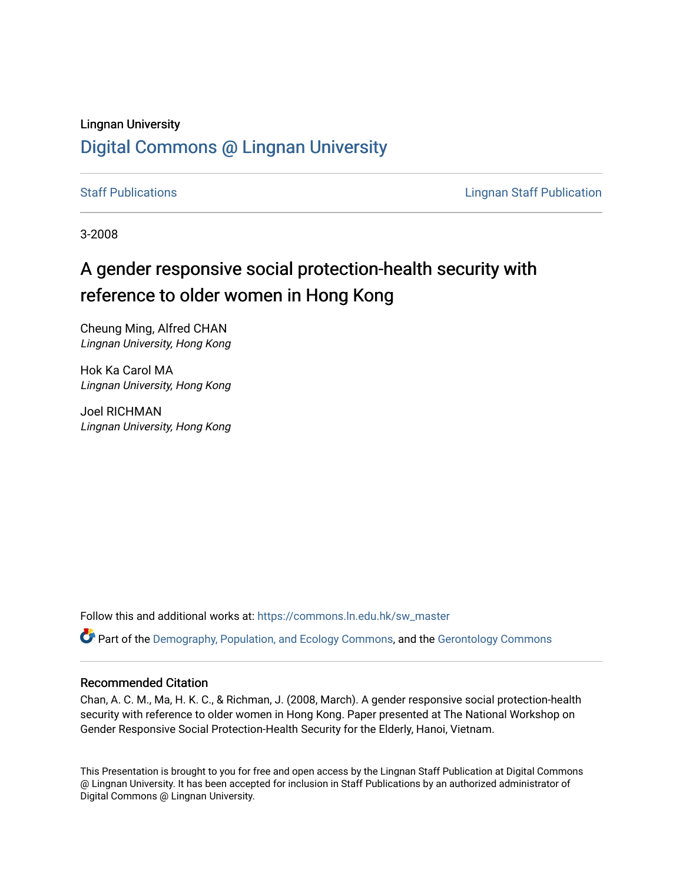# Lingnan University [Digital Commons @ Lingnan University](https://commons.ln.edu.hk/)

[Staff Publications](https://commons.ln.edu.hk/sw_master) **Staff Publications Lingnan Staff Publication** 

3-2008

# A gender responsive social protection-health security with reference to older women in Hong Kong

Cheung Ming, Alfred CHAN Lingnan University, Hong Kong

Hok Ka Carol MA Lingnan University, Hong Kong

Joel RICHMAN Lingnan University, Hong Kong

Follow this and additional works at: [https://commons.ln.edu.hk/sw\\_master](https://commons.ln.edu.hk/sw_master?utm_source=commons.ln.edu.hk%2Fsw_master%2F4822&utm_medium=PDF&utm_campaign=PDFCoverPages) 

Part of the [Demography, Population, and Ecology Commons,](http://network.bepress.com/hgg/discipline/418?utm_source=commons.ln.edu.hk%2Fsw_master%2F4822&utm_medium=PDF&utm_campaign=PDFCoverPages) and the [Gerontology Commons](http://network.bepress.com/hgg/discipline/1276?utm_source=commons.ln.edu.hk%2Fsw_master%2F4822&utm_medium=PDF&utm_campaign=PDFCoverPages)

#### Recommended Citation

Chan, A. C. M., Ma, H. K. C., & Richman, J. (2008, March). A gender responsive social protection-health security with reference to older women in Hong Kong. Paper presented at The National Workshop on Gender Responsive Social Protection-Health Security for the Elderly, Hanoi, Vietnam.

This Presentation is brought to you for free and open access by the Lingnan Staff Publication at Digital Commons @ Lingnan University. It has been accepted for inclusion in Staff Publications by an authorized administrator of Digital Commons @ Lingnan University.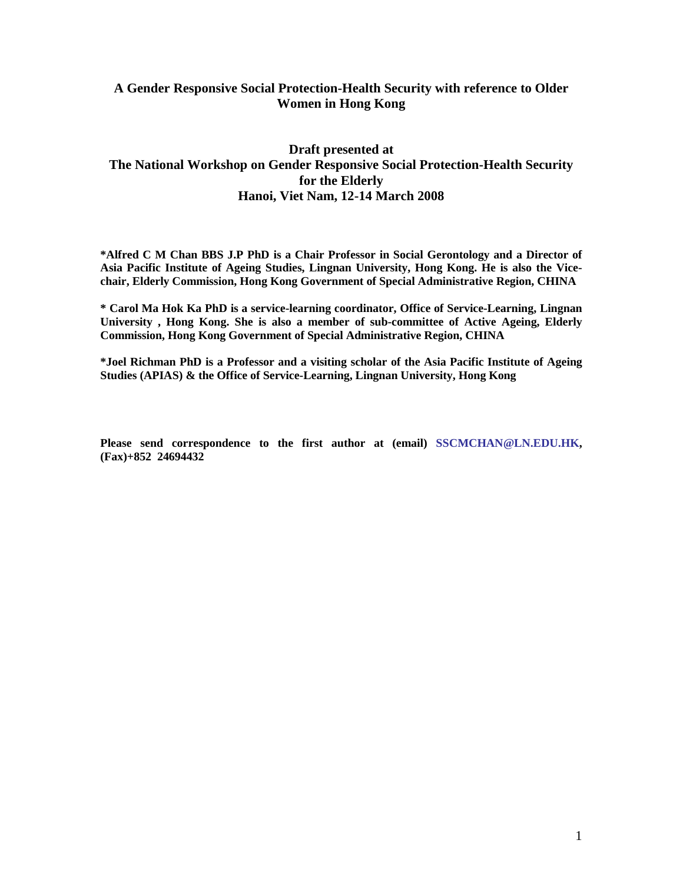# **A Gender Responsive Social Protection-Health Security with reference to Older Women in Hong Kong**

# **Draft presented at The National Workshop on Gender Responsive Social Protection-Health Security for the Elderly Hanoi, Viet Nam, 12-14 March 2008**

**\*Alfred C M Chan BBS J.P PhD is a Chair Professor in Social Gerontology and a Director of Asia Pacific Institute of Ageing Studies, Lingnan University, Hong Kong. He is also the Vicechair, Elderly Commission, Hong Kong Government of Special Administrative Region, CHINA**

**\* Carol Ma Hok Ka PhD is a service-learning coordinator, Office of Service-Learning, Lingnan University , Hong Kong. She is also a member of sub-committee of Active Ageing, Elderly Commission, Hong Kong Government of Special Administrative Region, CHINA**

**\*Joel Richman PhD is a Professor and a visiting scholar of the Asia Pacific Institute of Ageing Studies (APIAS) & the Office of Service-Learning, Lingnan University, Hong Kong** 

**Please send correspondence to the first author at (email) [SSCMCHAN@LN.EDU.HK,](mailto:SSCMCHAN@LN.EDU.HK) (Fax)+852 24694432**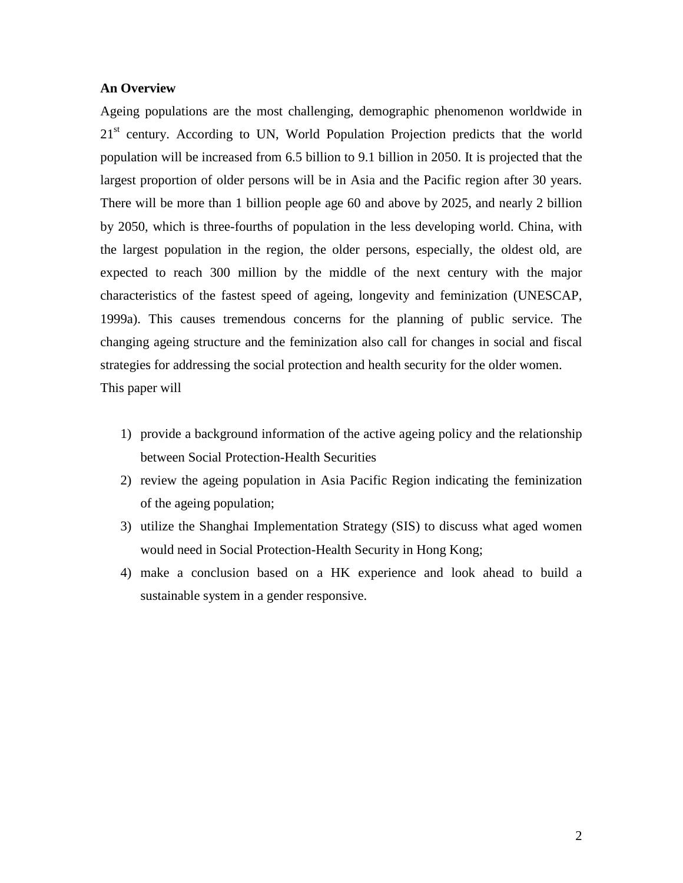#### **An Overview**

Ageing populations are the most challenging, demographic phenomenon worldwide in 21<sup>st</sup> century. According to UN, World Population Projection predicts that the world population will be increased from 6.5 billion to 9.1 billion in 2050. It is projected that the largest proportion of older persons will be in Asia and the Pacific region after 30 years. There will be more than 1 billion people age 60 and above by 2025, and nearly 2 billion by 2050, which is three-fourths of population in the less developing world. China, with the largest population in the region, the older persons, especially, the oldest old, are expected to reach 300 million by the middle of the next century with the major characteristics of the fastest speed of ageing, longevity and feminization (UNESCAP, 1999a). This causes tremendous concerns for the planning of public service. The changing ageing structure and the feminization also call for changes in social and fiscal strategies for addressing the social protection and health security for the older women. This paper will

- 1) provide a background information of the active ageing policy and the relationship between Social Protection-Health Securities
- 2) review the ageing population in Asia Pacific Region indicating the feminization of the ageing population;
- 3) utilize the Shanghai Implementation Strategy (SIS) to discuss what aged women would need in Social Protection-Health Security in Hong Kong;
- 4) make a conclusion based on a HK experience and look ahead to build a sustainable system in a gender responsive.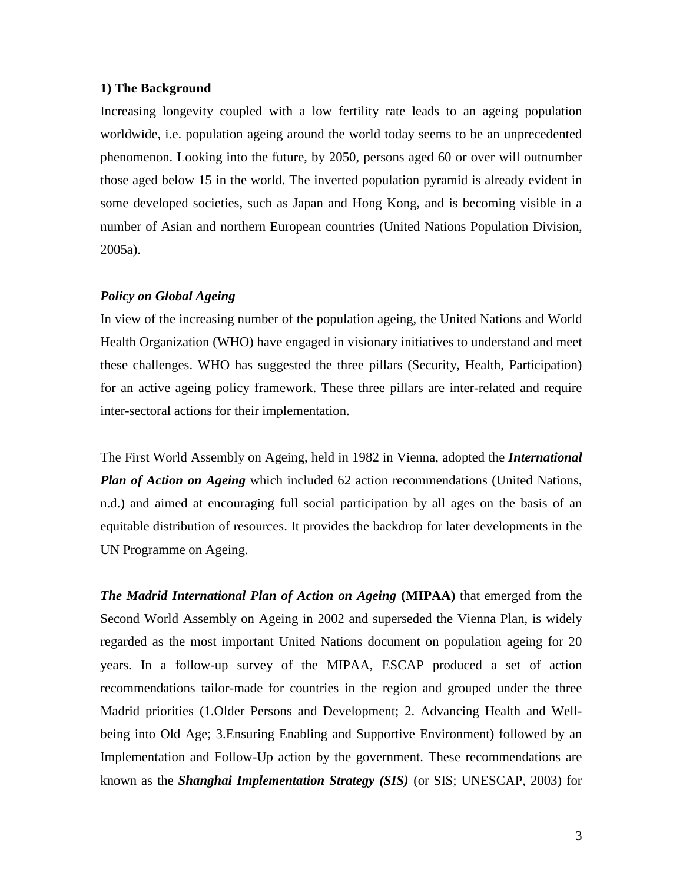#### **1) The Background**

Increasing longevity coupled with a low fertility rate leads to an ageing population worldwide, i.e. population ageing around the world today seems to be an unprecedented phenomenon. Looking into the future, by 2050, persons aged 60 or over will outnumber those aged below 15 in the world. The inverted population pyramid is already evident in some developed societies, such as Japan and Hong Kong, and is becoming visible in a number of Asian and northern European countries (United Nations Population Division, 2005a).

#### *Policy on Global Ageing*

In view of the increasing number of the population ageing, the United Nations and World Health Organization (WHO) have engaged in visionary initiatives to understand and meet these challenges. WHO has suggested the three pillars (Security, Health, Participation) for an active ageing policy framework. These three pillars are inter-related and require inter-sectoral actions for their implementation.

The First World Assembly on Ageing, held in 1982 in Vienna, adopted the *International Plan of Action on Ageing* which included 62 action recommendations (United Nations, n.d.) and aimed at encouraging full social participation by all ages on the basis of an equitable distribution of resources. It provides the backdrop for later developments in the UN Programme on Ageing.

*The Madrid International Plan of Action on Ageing* **(MIPAA)** that emerged from the Second World Assembly on Ageing in 2002 and superseded the Vienna Plan, is widely regarded as the most important United Nations document on population ageing for 20 years. In a follow-up survey of the MIPAA, ESCAP produced a set of action recommendations tailor-made for countries in the region and grouped under the three Madrid priorities (1.Older Persons and Development; 2. Advancing Health and Wellbeing into Old Age; 3.Ensuring Enabling and Supportive Environment) followed by an Implementation and Follow-Up action by the government. These recommendations are known as the *Shanghai Implementation Strategy (SIS)* (or SIS; UNESCAP, 2003) for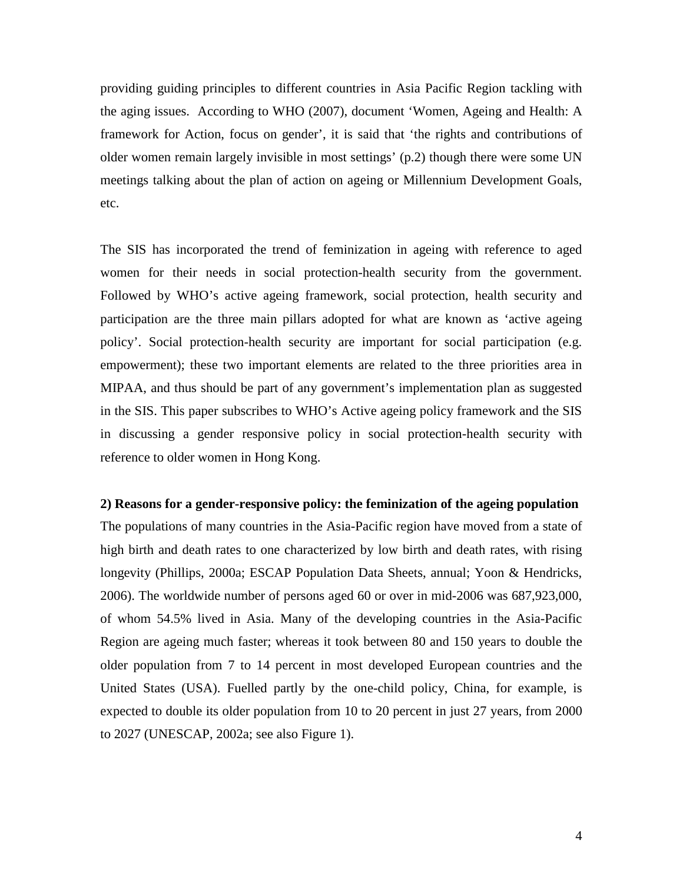providing guiding principles to different countries in Asia Pacific Region tackling with the aging issues. According to WHO (2007), document 'Women, Ageing and Health: A framework for Action, focus on gender', it is said that 'the rights and contributions of older women remain largely invisible in most settings' (p.2) though there were some UN meetings talking about the plan of action on ageing or Millennium Development Goals, etc.

The SIS has incorporated the trend of feminization in ageing with reference to aged women for their needs in social protection-health security from the government. Followed by WHO's active ageing framework, social protection, health security and participation are the three main pillars adopted for what are known as 'active ageing policy'. Social protection-health security are important for social participation (e.g. empowerment); these two important elements are related to the three priorities area in MIPAA, and thus should be part of any government's implementation plan as suggested in the SIS. This paper subscribes to WHO's Active ageing policy framework and the SIS in discussing a gender responsive policy in social protection-health security with reference to older women in Hong Kong.

#### **2) Reasons for a gender-responsive policy: the feminization of the ageing population**

The populations of many countries in the Asia-Pacific region have moved from a state of high birth and death rates to one characterized by low birth and death rates, with rising longevity (Phillips, 2000a; ESCAP Population Data Sheets, annual; Yoon & Hendricks, 2006). The worldwide number of persons aged 60 or over in mid-2006 was 687,923,000, of whom 54.5% lived in Asia. Many of the developing countries in the Asia-Pacific Region are ageing much faster; whereas it took between 80 and 150 years to double the older population from 7 to 14 percent in most developed European countries and the United States (USA). Fuelled partly by the one-child policy, China, for example, is expected to double its older population from 10 to 20 percent in just 27 years, from 2000 to 2027 (UNESCAP, 2002a; see also Figure 1).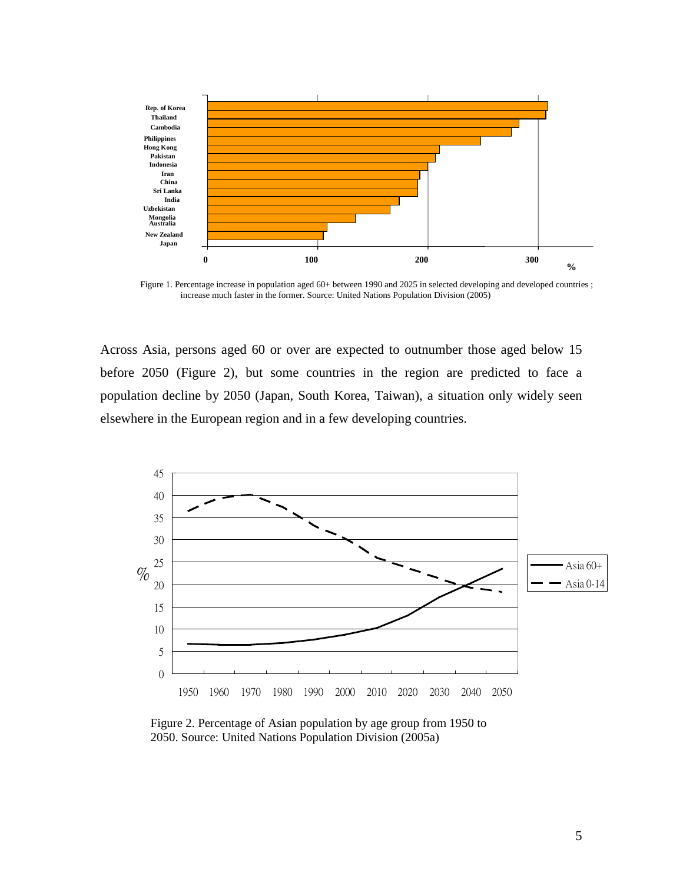

Figure 1. Percentage increase in population aged 60+ between 1990 and 2025 in selected developing and developed countries ; increase much faster in the former. Source: United Nations Population Division (2005)

Across Asia, persons aged 60 or over are expected to outnumber those aged below 15 before 2050 (Figure 2), but some countries in the region are predicted to face a population decline by 2050 (Japan, South Korea, Taiwan), a situation only widely seen elsewhere in the European region and in a few developing countries.



Figure 2. Percentage of Asian population by age group from 1950 to 2050. Source: United Nations Population Division (2005a)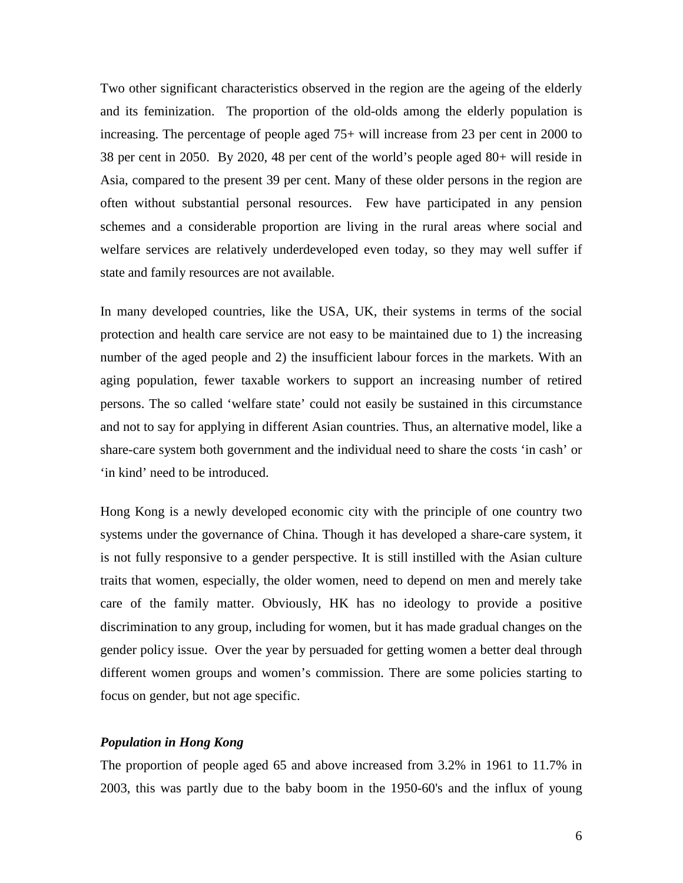Two other significant characteristics observed in the region are the ageing of the elderly and its feminization. The proportion of the old-olds among the elderly population is increasing. The percentage of people aged 75+ will increase from 23 per cent in 2000 to 38 per cent in 2050. By 2020, 48 per cent of the world's people aged 80+ will reside in Asia, compared to the present 39 per cent. Many of these older persons in the region are often without substantial personal resources. Few have participated in any pension schemes and a considerable proportion are living in the rural areas where social and welfare services are relatively underdeveloped even today, so they may well suffer if state and family resources are not available.

In many developed countries, like the USA, UK, their systems in terms of the social protection and health care service are not easy to be maintained due to 1) the increasing number of the aged people and 2) the insufficient labour forces in the markets. With an aging population, fewer taxable workers to support an increasing number of retired persons. The so called 'welfare state' could not easily be sustained in this circumstance and not to say for applying in different Asian countries. Thus, an alternative model, like a share-care system both government and the individual need to share the costs 'in cash' or 'in kind' need to be introduced.

Hong Kong is a newly developed economic city with the principle of one country two systems under the governance of China. Though it has developed a share-care system, it is not fully responsive to a gender perspective. It is still instilled with the Asian culture traits that women, especially, the older women, need to depend on men and merely take care of the family matter. Obviously, HK has no ideology to provide a positive discrimination to any group, including for women, but it has made gradual changes on the gender policy issue. Over the year by persuaded for getting women a better deal through different women groups and women's commission. There are some policies starting to focus on gender, but not age specific.

#### *Population in Hong Kong*

The proportion of people aged 65 and above increased from 3.2% in 1961 to 11.7% in 2003, this was partly due to the baby boom in the 1950-60's and the influx of young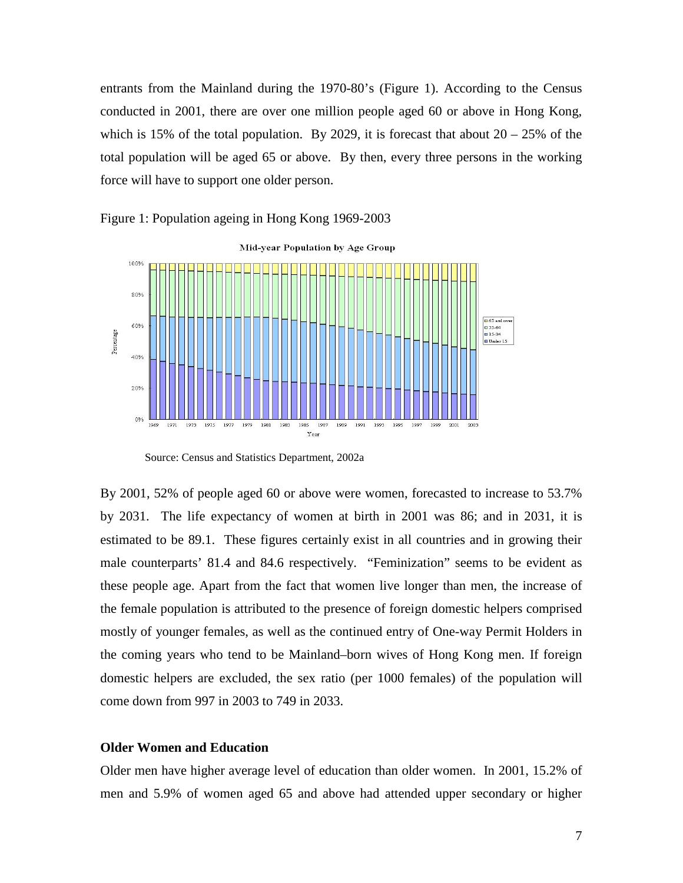entrants from the Mainland during the 1970-80's (Figure 1). According to the Census conducted in 2001, there are over one million people aged 60 or above in Hong Kong, which is 15% of the total population. By 2029, it is forecast that about  $20 - 25%$  of the total population will be aged 65 or above. By then, every three persons in the working force will have to support one older person.



Figure 1: Population ageing in Hong Kong 1969-2003

By 2001, 52% of people aged 60 or above were women, forecasted to increase to 53.7% by 2031. The life expectancy of women at birth in 2001 was 86; and in 2031, it is estimated to be 89.1. These figures certainly exist in all countries and in growing their male counterparts' 81.4 and 84.6 respectively. "Feminization" seems to be evident as these people age. Apart from the fact that women live longer than men, the increase of the female population is attributed to the presence of foreign domestic helpers comprised mostly of younger females, as well as the continued entry of One-way Permit Holders in the coming years who tend to be Mainland–born wives of Hong Kong men. If foreign domestic helpers are excluded, the sex ratio (per 1000 females) of the population will come down from 997 in 2003 to 749 in 2033.

#### **Older Women and Education**

Older men have higher average level of education than older women. In 2001, 15.2% of men and 5.9% of women aged 65 and above had attended upper secondary or higher

Source: Census and Statistics Department, 2002a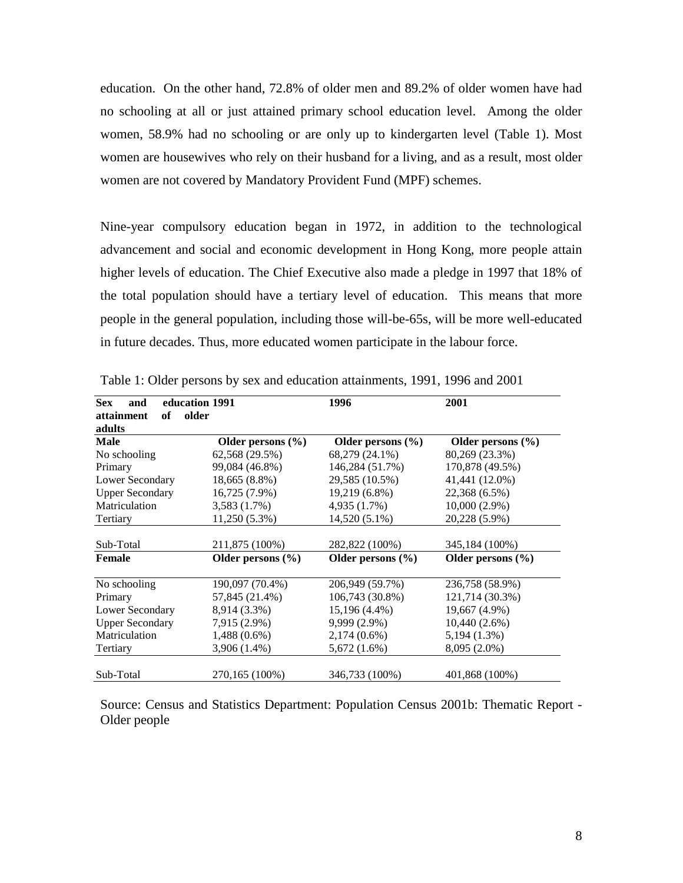education. On the other hand, 72.8% of older men and 89.2% of older women have had no schooling at all or just attained primary school education level. Among the older women, 58.9% had no schooling or are only up to kindergarten level (Table 1). Most women are housewives who rely on their husband for a living, and as a result, most older women are not covered by Mandatory Provident Fund (MPF) schemes.

Nine-year compulsory education began in 1972, in addition to the technological advancement and social and economic development in Hong Kong, more people attain higher levels of education. The Chief Executive also made a pledge in 1997 that 18% of the total population should have a tertiary level of education. This means that more people in the general population, including those will-be-65s, will be more well-educated in future decades. Thus, more educated women participate in the labour force.

| <b>Sex</b><br>and      | education 1991        | 1996                  | 2001                  |
|------------------------|-----------------------|-----------------------|-----------------------|
| attainment<br>of       | older                 |                       |                       |
| adults                 |                       |                       |                       |
| <b>Male</b>            | Older persons $(\% )$ | Older persons $(\% )$ | Older persons $(\% )$ |
| No schooling           | 62,568 (29.5%)        | 68,279 (24.1%)        | 80,269 (23.3%)        |
| Primary                | 99,084 (46.8%)        | 146,284 (51.7%)       | 170,878 (49.5%)       |
| Lower Secondary        | 18,665 (8.8%)         | 29,585 (10.5%)        | 41,441 (12.0%)        |
| <b>Upper Secondary</b> | $16,725(7.9\%)$       | 19,219 (6.8%)         | 22,368 (6.5%)         |
| Matriculation          | 3,583 (1.7%)          | 4,935 (1.7%)          | $10,000(2.9\%)$       |
| Tertiary               | 11,250 (5.3%)         | 14,520 (5.1%)         | 20,228 (5.9%)         |
|                        |                       |                       |                       |
| Sub-Total              | 211,875 (100%)        | 282,822 (100%)        | 345,184 (100%)        |
| <b>Female</b>          | Older persons $(\% )$ | Older persons $(\% )$ | Older persons $(\% )$ |
| No schooling           | 190,097 (70.4%)       | 206,949 (59.7%)       | 236,758 (58.9%)       |
| Primary                | 57,845 (21.4%)        | 106,743 (30.8%)       | 121,714 (30.3%)       |
| Lower Secondary        | 8,914 (3.3%)          | 15,196 (4.4%)         | 19,667 (4.9%)         |
| <b>Upper Secondary</b> | 7,915 (2.9%)          | 9,999 (2.9%)          | 10,440 (2.6%)         |
| Matriculation          | $1,488(0.6\%)$        | $2,174(0.6\%)$        | 5,194 (1.3%)          |
| Tertiary               | 3,906 (1.4%)          | 5,672(1.6%)           | 8,095 (2.0%)          |
| Sub-Total              | 270,165 (100%)        | 346,733 (100%)        | 401,868 (100%)        |

Table 1: Older persons by sex and education attainments, 1991, 1996 and 2001

Source: Census and Statistics Department: Population Census 2001b: Thematic Report - Older people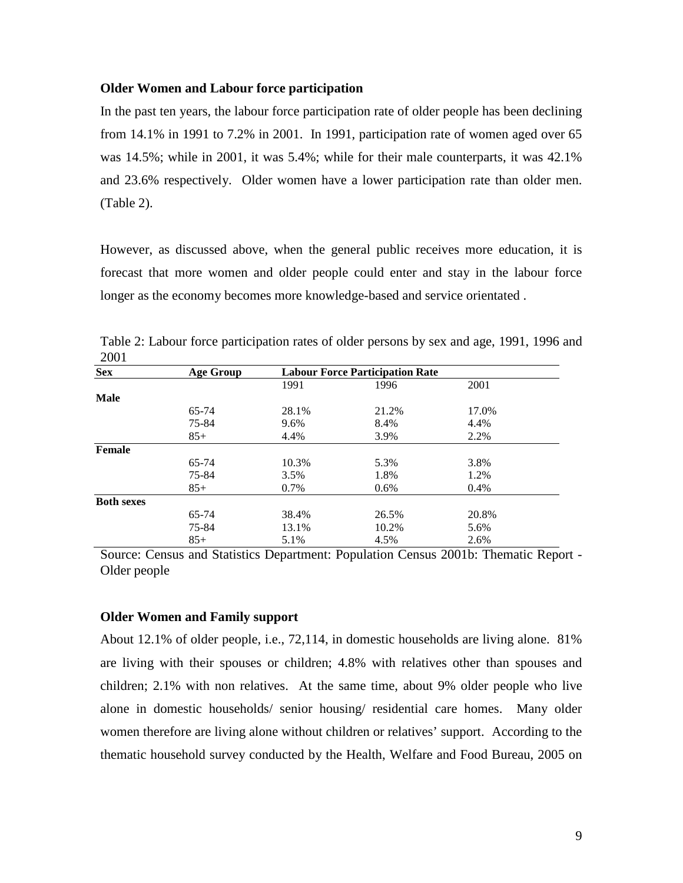#### **Older Women and Labour force participation**

In the past ten years, the labour force participation rate of older people has been declining from 14.1% in 1991 to 7.2% in 2001. In 1991, participation rate of women aged over 65 was 14.5%; while in 2001, it was 5.4%; while for their male counterparts, it was 42.1% and 23.6% respectively. Older women have a lower participation rate than older men. (Table 2).

However, as discussed above, when the general public receives more education, it is forecast that more women and older people could enter and stay in the labour force longer as the economy becomes more knowledge-based and service orientated .

| <b>Sex</b>        | <b>Age Group</b> | <b>Labour Force Participation Rate</b> |         |         |
|-------------------|------------------|----------------------------------------|---------|---------|
|                   |                  | 1991                                   | 1996    | 2001    |
| <b>Male</b>       |                  |                                        |         |         |
|                   | 65-74            | 28.1%                                  | 21.2%   | 17.0%   |
|                   | 75-84            | 9.6%                                   | 8.4%    | 4.4%    |
|                   | $85+$            | 4.4%                                   | 3.9%    | 2.2%    |
| Female            |                  |                                        |         |         |
|                   | 65-74            | 10.3%                                  | 5.3%    | 3.8%    |
|                   | 75-84            | 3.5%                                   | 1.8%    | 1.2%    |
|                   | $85+$            | 0.7%                                   | $0.6\%$ | $0.4\%$ |
| <b>Both sexes</b> |                  |                                        |         |         |
|                   | 65-74            | 38.4%                                  | 26.5%   | 20.8%   |
|                   | 75-84            | 13.1%                                  | 10.2%   | 5.6%    |
|                   | $85+$            | 5.1%                                   | 4.5%    | 2.6%    |

Table 2: Labour force participation rates of older persons by sex and age, 1991, 1996 and 2001

Source: Census and Statistics Department: Population Census 2001b: Thematic Report - Older people

#### **Older Women and Family support**

About 12.1% of older people, i.e., 72,114, in domestic households are living alone. 81% are living with their spouses or children; 4.8% with relatives other than spouses and children; 2.1% with non relatives. At the same time, about 9% older people who live alone in domestic households/ senior housing/ residential care homes. Many older women therefore are living alone without children or relatives' support.According to the thematic household survey conducted by the Health, Welfare and Food Bureau, 2005 on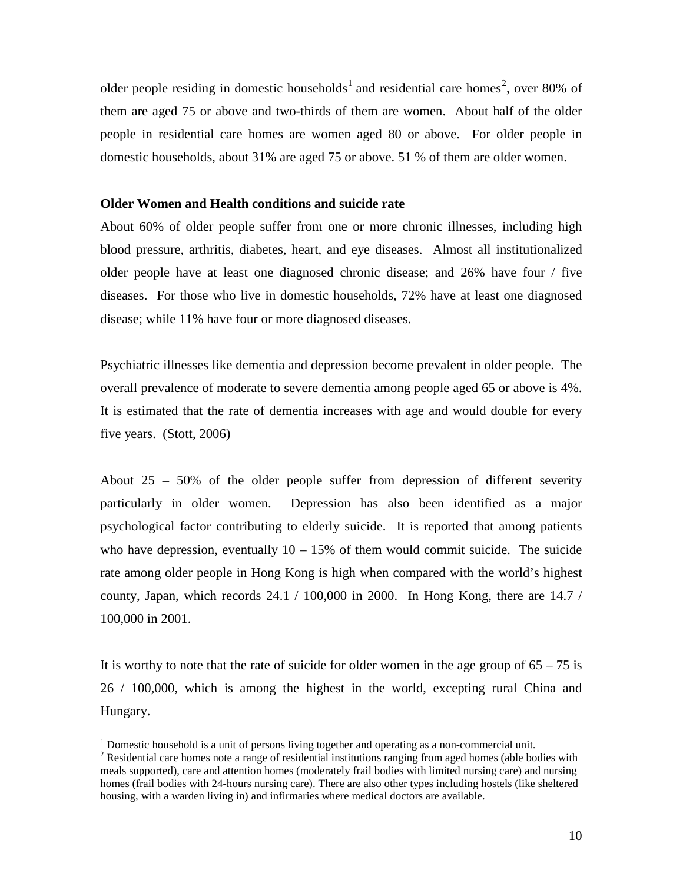older people residing in domestic households<sup>[1](#page-10-0)</sup> and residential care homes<sup>[2](#page-10-1)</sup>, over 80% of them are aged 75 or above and two-thirds of them are women. About half of the older people in residential care homes are women aged 80 or above. For older people in domestic households, about 31% are aged 75 or above. 51 % of them are older women.

#### **Older Women and Health conditions and suicide rate**

About 60% of older people suffer from one or more chronic illnesses, including high blood pressure, arthritis, diabetes, heart, and eye diseases. Almost all institutionalized older people have at least one diagnosed chronic disease; and 26% have four / five diseases. For those who live in domestic households, 72% have at least one diagnosed disease; while 11% have four or more diagnosed diseases.

Psychiatric illnesses like dementia and depression become prevalent in older people. The overall prevalence of moderate to severe dementia among people aged 65 or above is 4%. It is estimated that the rate of dementia increases with age and would double for every five years. (Stott, 2006)

About 25 – 50% of the older people suffer from depression of different severity particularly in older women. Depression has also been identified as a major psychological factor contributing to elderly suicide. It is reported that among patients who have depression, eventually  $10 - 15%$  of them would commit suicide. The suicide rate among older people in Hong Kong is high when compared with the world's highest county, Japan, which records 24.1 / 100,000 in 2000. In Hong Kong, there are 14.7 / 100,000 in 2001.

It is worthy to note that the rate of suicide for older women in the age group of  $65 - 75$  is 26 / 100,000, which is among the highest in the world, excepting rural China and Hungary.

<span id="page-10-0"></span><sup>&</sup>lt;sup>1</sup> Domestic household is a unit of persons living together and operating as a non-commercial unit. <sup>2</sup> Residential care homes note a range of residential institutions ranging from aged homes (able bodies with

<span id="page-10-1"></span>meals supported), care and attention homes (moderately frail bodies with limited nursing care) and nursing homes (frail bodies with 24-hours nursing care). There are also other types including hostels (like sheltered housing, with a warden living in) and infirmaries where medical doctors are available.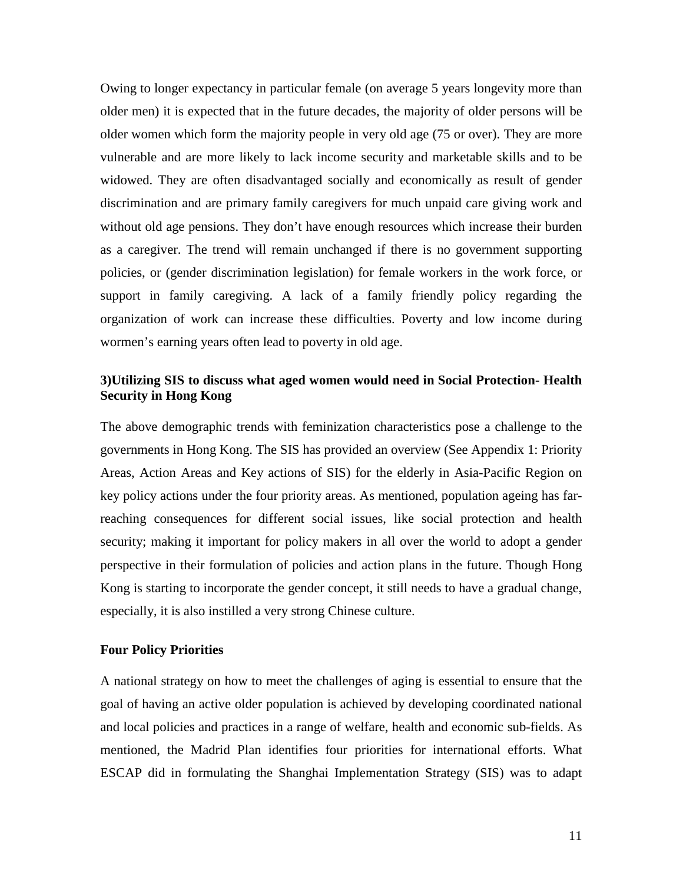Owing to longer expectancy in particular female (on average 5 years longevity more than older men) it is expected that in the future decades, the majority of older persons will be older women which form the majority people in very old age (75 or over). They are more vulnerable and are more likely to lack income security and marketable skills and to be widowed. They are often disadvantaged socially and economically as result of gender discrimination and are primary family caregivers for much unpaid care giving work and without old age pensions. They don't have enough resources which increase their burden as a caregiver. The trend will remain unchanged if there is no government supporting policies, or (gender discrimination legislation) for female workers in the work force, or support in family caregiving. A lack of a family friendly policy regarding the organization of work can increase these difficulties. Poverty and low income during wormen's earning years often lead to poverty in old age.

## **3)Utilizing SIS to discuss what aged women would need in Social Protection- Health Security in Hong Kong**

The above demographic trends with feminization characteristics pose a challenge to the governments in Hong Kong. The SIS has provided an overview (See Appendix 1: Priority Areas, Action Areas and Key actions of SIS) for the elderly in Asia-Pacific Region on key policy actions under the four priority areas. As mentioned, population ageing has farreaching consequences for different social issues, like social protection and health security; making it important for policy makers in all over the world to adopt a gender perspective in their formulation of policies and action plans in the future. Though Hong Kong is starting to incorporate the gender concept, it still needs to have a gradual change, especially, it is also instilled a very strong Chinese culture.

#### **Four Policy Priorities**

A national strategy on how to meet the challenges of aging is essential to ensure that the goal of having an active older population is achieved by developing coordinated national and local policies and practices in a range of welfare, health and economic sub-fields. As mentioned, the Madrid Plan identifies four priorities for international efforts. What ESCAP did in formulating the Shanghai Implementation Strategy (SIS) was to adapt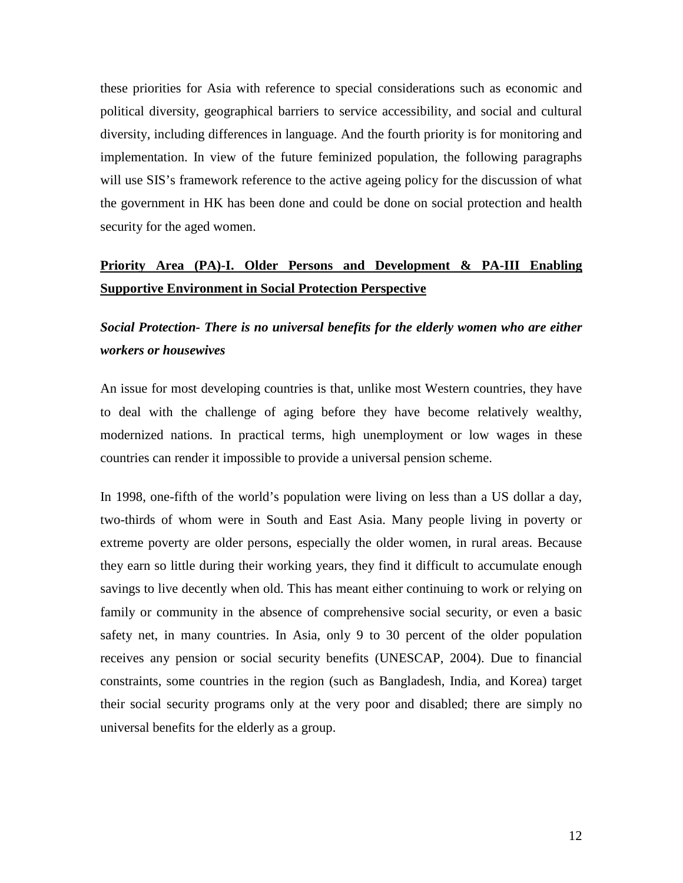these priorities for Asia with reference to special considerations such as economic and political diversity, geographical barriers to service accessibility, and social and cultural diversity, including differences in language. And the fourth priority is for monitoring and implementation. In view of the future feminized population, the following paragraphs will use SIS's framework reference to the active ageing policy for the discussion of what the government in HK has been done and could be done on social protection and health security for the aged women.

# **Priority Area (PA)-I. Older Persons and Development & PA-III Enabling Supportive Environment in Social Protection Perspective**

*Social Protection- There is no universal benefits for the elderly women who are either workers or housewives*

An issue for most developing countries is that, unlike most Western countries, they have to deal with the challenge of aging before they have become relatively wealthy, modernized nations. In practical terms, high unemployment or low wages in these countries can render it impossible to provide a universal pension scheme.

In 1998, one-fifth of the world's population were living on less than a US dollar a day, two-thirds of whom were in South and East Asia. Many people living in poverty or extreme poverty are older persons, especially the older women, in rural areas. Because they earn so little during their working years, they find it difficult to accumulate enough savings to live decently when old. This has meant either continuing to work or relying on family or community in the absence of comprehensive social security, or even a basic safety net, in many countries. In Asia, only 9 to 30 percent of the older population receives any pension or social security benefits (UNESCAP, 2004). Due to financial constraints, some countries in the region (such as Bangladesh, India, and Korea) target their social security programs only at the very poor and disabled; there are simply no universal benefits for the elderly as a group.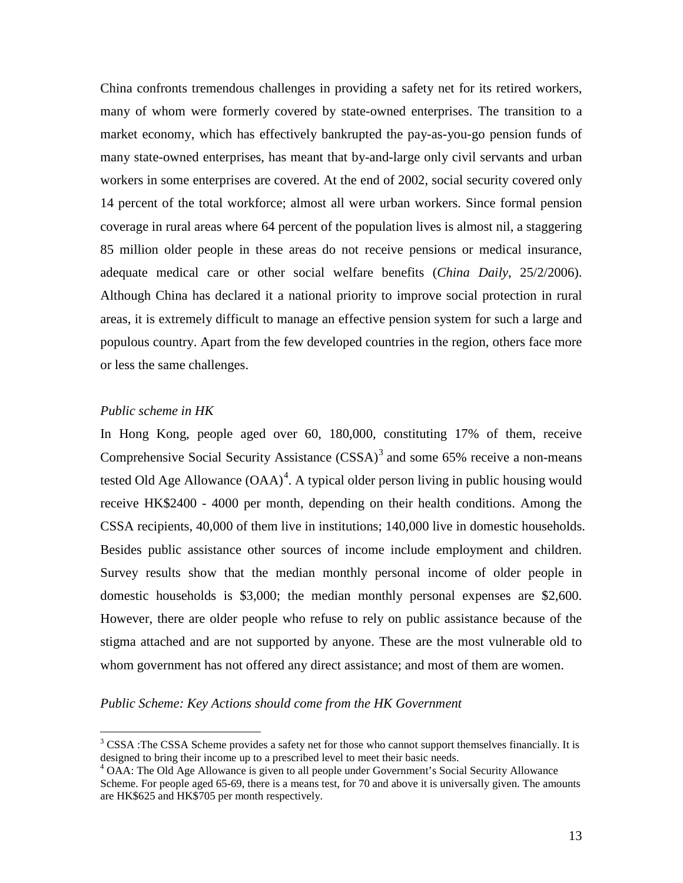China confronts tremendous challenges in providing a safety net for its retired workers, many of whom were formerly covered by state-owned enterprises. The transition to a market economy, which has effectively bankrupted the pay-as-you-go pension funds of many state-owned enterprises, has meant that by-and-large only civil servants and urban workers in some enterprises are covered. At the end of 2002, social security covered only 14 percent of the total workforce; almost all were urban workers. Since formal pension coverage in rural areas where 64 percent of the population lives is almost nil, a staggering 85 million older people in these areas do not receive pensions or medical insurance, adequate medical care or other social welfare benefits (*China Daily*, 25/2/2006). Although China has declared it a national priority to improve social protection in rural areas, it is extremely difficult to manage an effective pension system for such a large and populous country. Apart from the few developed countries in the region, others face more or less the same challenges.

## *Public scheme in HK*

In Hong Kong, people aged over 60, 180,000, constituting 17% of them, receive Comprehensive Social Security Assistance  $(CSSA)^3$  $(CSSA)^3$  and some 65% receive a non-means tested Old Age Allowance  $(OAA)^4$  $(OAA)^4$ . A typical older person living in public housing would receive HK\$2400 - 4000 per month, depending on their health conditions. Among the CSSA recipients, 40,000 of them live in institutions; 140,000 live in domestic households. Besides public assistance other sources of income include employment and children. Survey results show that the median monthly personal income of older people in domestic households is \$3,000; the median monthly personal expenses are \$2,600. However, there are older people who refuse to rely on public assistance because of the stigma attached and are not supported by anyone. These are the most vulnerable old to whom government has not offered any direct assistance; and most of them are women.

#### *Public Scheme: Key Actions should come from the HK Government*

<span id="page-13-0"></span><sup>&</sup>lt;sup>3</sup> CSSA :The CSSA Scheme provides a safety net for those who cannot support themselves financially. It is designed to bring their income up to a prescribed level to meet their basic needs.

<span id="page-13-1"></span><sup>&</sup>lt;sup>4</sup> OAA: The Old Age Allowance is given to all people under Government's Social Security Allowance Scheme. For people aged 65-69, there is a means test, for 70 and above it is universally given. The amounts are HK\$625 and HK\$705 per month respectively.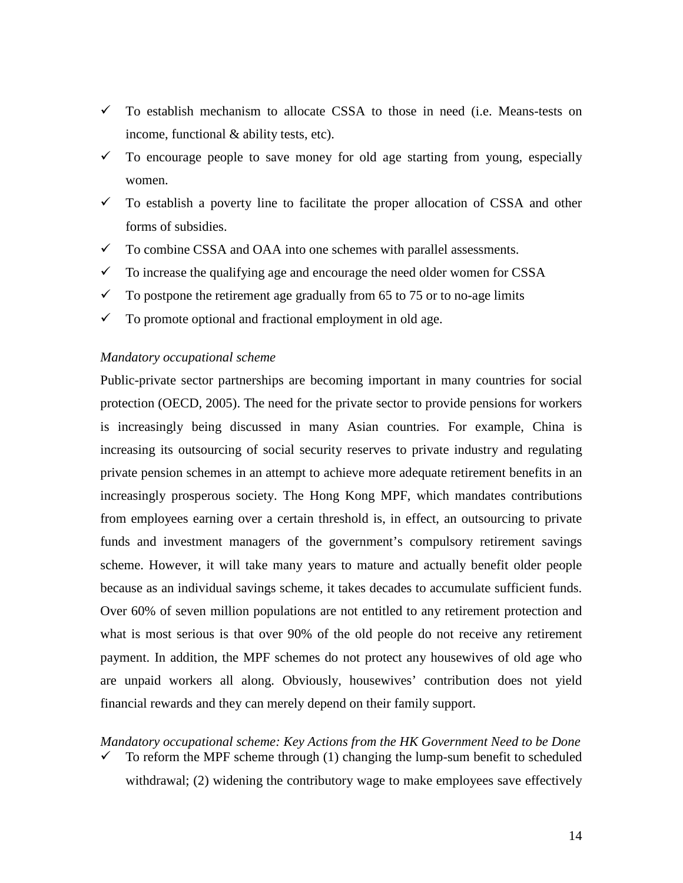- $\checkmark$  To establish mechanism to allocate CSSA to those in need (i.e. Means-tests on income, functional & ability tests, etc).
- $\checkmark$  To encourage people to save money for old age starting from young, especially women.
- $\checkmark$  To establish a poverty line to facilitate the proper allocation of CSSA and other forms of subsidies.
- $\checkmark$  To combine CSSA and OAA into one schemes with parallel assessments.
- $\checkmark$  To increase the qualifying age and encourage the need older women for CSSA
- $\checkmark$  To postpone the retirement age gradually from 65 to 75 or to no-age limits
- $\checkmark$  To promote optional and fractional employment in old age.

#### *Mandatory occupational scheme*

Public-private sector partnerships are becoming important in many countries for social protection (OECD, 2005). The need for the private sector to provide pensions for workers is increasingly being discussed in many Asian countries. For example, China is increasing its outsourcing of social security reserves to private industry and regulating private pension schemes in an attempt to achieve more adequate retirement benefits in an increasingly prosperous society. The Hong Kong MPF, which mandates contributions from employees earning over a certain threshold is, in effect, an outsourcing to private funds and investment managers of the government's compulsory retirement savings scheme. However, it will take many years to mature and actually benefit older people because as an individual savings scheme, it takes decades to accumulate sufficient funds. Over 60% of seven million populations are not entitled to any retirement protection and what is most serious is that over 90% of the old people do not receive any retirement payment. In addition, the MPF schemes do not protect any housewives of old age who are unpaid workers all along. Obviously, housewives' contribution does not yield financial rewards and they can merely depend on their family support.

# *Mandatory occupational scheme: Key Actions from the HK Government Need to be Done*

 $\checkmark$  To reform the MPF scheme through (1) changing the lump-sum benefit to scheduled withdrawal; (2) widening the contributory wage to make employees save effectively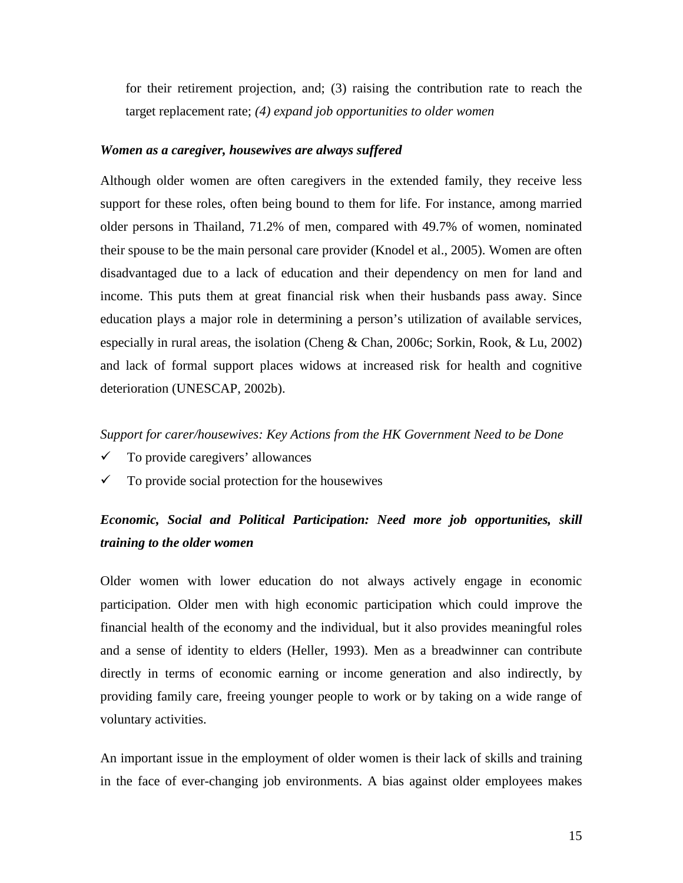for their retirement projection, and; (3) raising the contribution rate to reach the target replacement rate; *(4) expand job opportunities to older women*

### *Women as a caregiver, housewives are always suffered*

Although older women are often caregivers in the extended family, they receive less support for these roles, often being bound to them for life. For instance, among married older persons in Thailand, 71.2% of men, compared with 49.7% of women, nominated their spouse to be the main personal care provider (Knodel et al., 2005). Women are often disadvantaged due to a lack of education and their dependency on men for land and income. This puts them at great financial risk when their husbands pass away. Since education plays a major role in determining a person's utilization of available services, especially in rural areas, the isolation (Cheng & Chan, 2006c; Sorkin, Rook, & Lu, 2002) and lack of formal support places widows at increased risk for health and cognitive deterioration (UNESCAP, 2002b).

#### *Support for carer/housewives: Key Actions from the HK Government Need to be Done*

- $\checkmark$  To provide caregivers' allowances
- $\checkmark$  To provide social protection for the housewives

# *Economic, Social and Political Participation: Need more job opportunities, skill training to the older women*

Older women with lower education do not always actively engage in economic participation. Older men with high economic participation which could improve the financial health of the economy and the individual, but it also provides meaningful roles and a sense of identity to elders (Heller, 1993). Men as a breadwinner can contribute directly in terms of economic earning or income generation and also indirectly, by providing family care, freeing younger people to work or by taking on a wide range of voluntary activities.

An important issue in the employment of older women is their lack of skills and training in the face of ever-changing job environments. A bias against older employees makes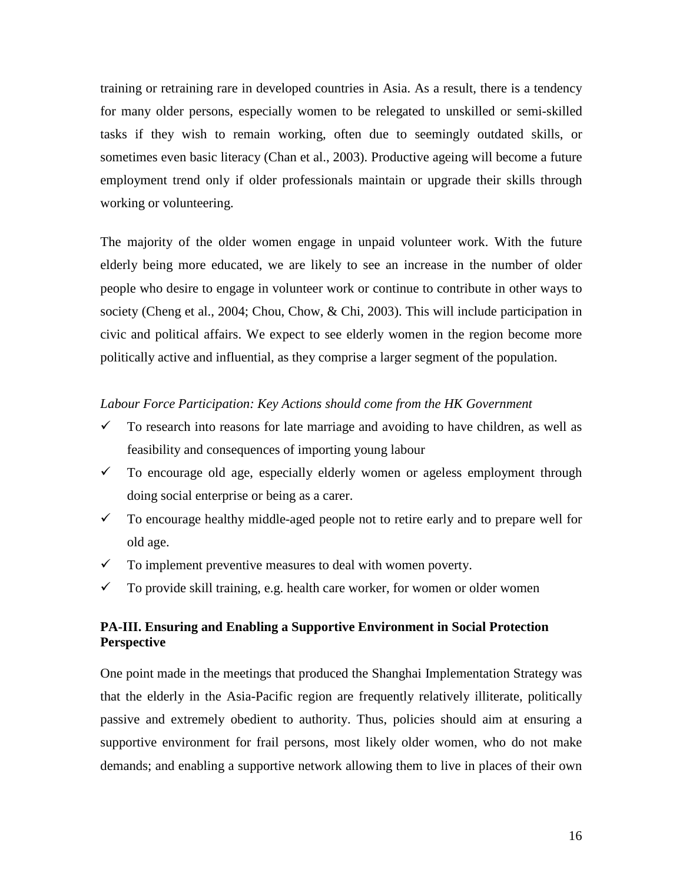training or retraining rare in developed countries in Asia. As a result, there is a tendency for many older persons, especially women to be relegated to unskilled or semi-skilled tasks if they wish to remain working, often due to seemingly outdated skills, or sometimes even basic literacy (Chan et al., 2003). Productive ageing will become a future employment trend only if older professionals maintain or upgrade their skills through working or volunteering.

The majority of the older women engage in unpaid volunteer work. With the future elderly being more educated, we are likely to see an increase in the number of older people who desire to engage in volunteer work or continue to contribute in other ways to society (Cheng et al., 2004; Chou, Chow, & Chi, 2003). This will include participation in civic and political affairs. We expect to see elderly women in the region become more politically active and influential, as they comprise a larger segment of the population.

### *Labour Force Participation: Key Actions should come from the HK Government*

- $\checkmark$  To research into reasons for late marriage and avoiding to have children, as well as feasibility and consequences of importing young labour
- $\checkmark$  To encourage old age, especially elderly women or ageless employment through doing social enterprise or being as a carer.
- $\checkmark$  To encourage healthy middle-aged people not to retire early and to prepare well for old age.
- $\checkmark$  To implement preventive measures to deal with women poverty.
- $\checkmark$  To provide skill training, e.g. health care worker, for women or older women

# **PA-III. Ensuring and Enabling a Supportive Environment in Social Protection Perspective**

One point made in the meetings that produced the Shanghai Implementation Strategy was that the elderly in the Asia-Pacific region are frequently relatively illiterate, politically passive and extremely obedient to authority. Thus, policies should aim at ensuring a supportive environment for frail persons, most likely older women, who do not make demands; and enabling a supportive network allowing them to live in places of their own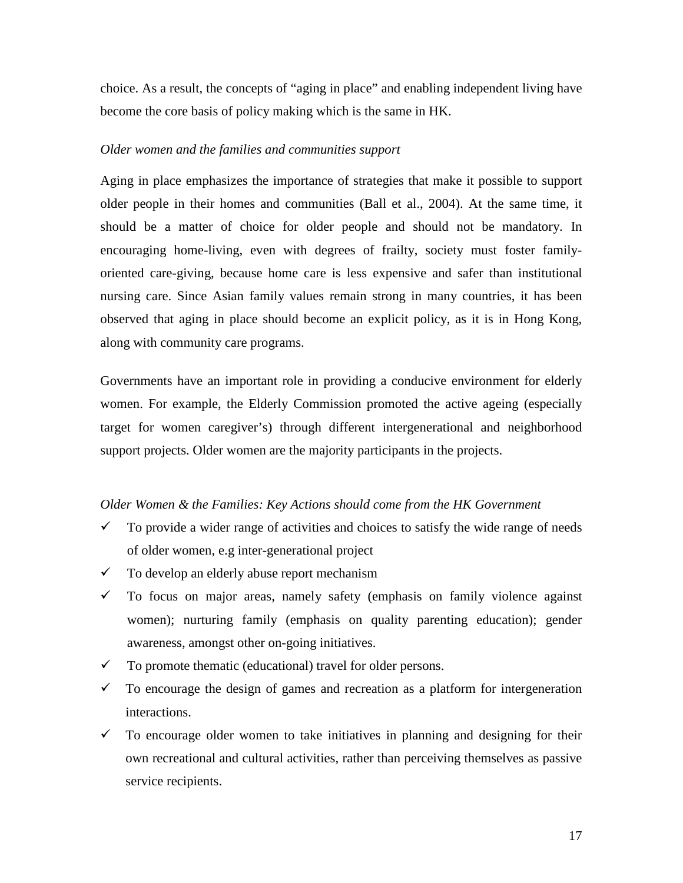choice. As a result, the concepts of "aging in place" and enabling independent living have become the core basis of policy making which is the same in HK.

#### *Older women and the families and communities support*

Aging in place emphasizes the importance of strategies that make it possible to support older people in their homes and communities (Ball et al., 2004). At the same time, it should be a matter of choice for older people and should not be mandatory. In encouraging home-living, even with degrees of frailty, society must foster familyoriented care-giving, because home care is less expensive and safer than institutional nursing care. Since Asian family values remain strong in many countries, it has been observed that aging in place should become an explicit policy, as it is in Hong Kong, along with community care programs.

Governments have an important role in providing a conducive environment for elderly women. For example, the Elderly Commission promoted the active ageing (especially target for women caregiver's) through different intergenerational and neighborhood support projects. Older women are the majority participants in the projects.

#### *Older Women & the Families: Key Actions should come from the HK Government*

- $\checkmark$  To provide a wider range of activities and choices to satisfy the wide range of needs of older women, e.g inter-generational project
- $\checkmark$  To develop an elderly abuse report mechanism
- $\checkmark$  To focus on major areas, namely safety (emphasis on family violence against women); nurturing family (emphasis on quality parenting education); gender awareness, amongst other on-going initiatives.
- $\checkmark$  To promote thematic (educational) travel for older persons.
- $\checkmark$  To encourage the design of games and recreation as a platform for intergeneration interactions.
- $\checkmark$  To encourage older women to take initiatives in planning and designing for their own recreational and cultural activities, rather than perceiving themselves as passive service recipients.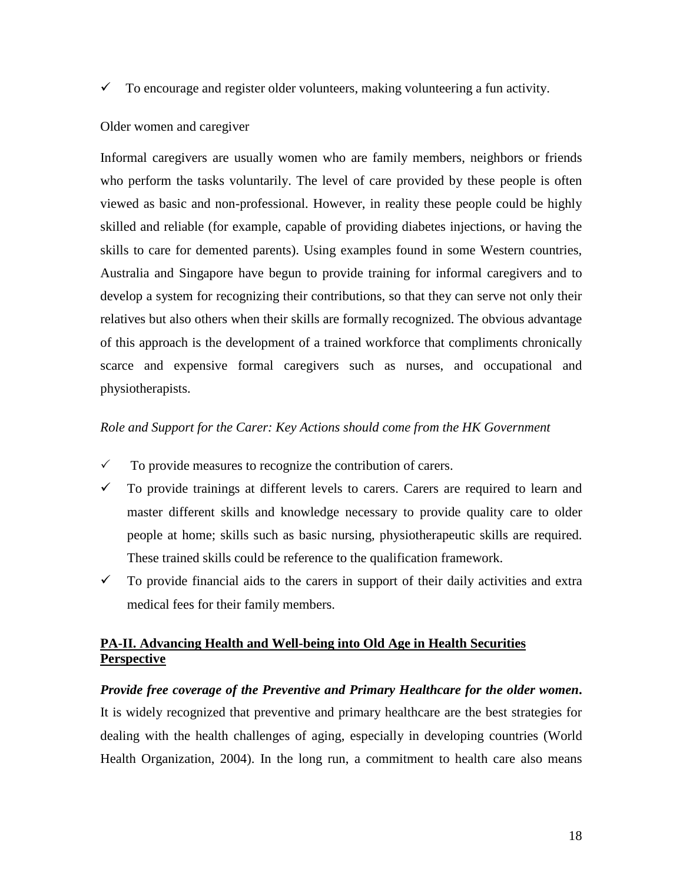$\checkmark$  To encourage and register older volunteers, making volunteering a fun activity.

#### Older women and caregiver

Informal caregivers are usually women who are family members, neighbors or friends who perform the tasks voluntarily. The level of care provided by these people is often viewed as basic and non-professional. However, in reality these people could be highly skilled and reliable (for example, capable of providing diabetes injections, or having the skills to care for demented parents). Using examples found in some Western countries, Australia and Singapore have begun to provide training for informal caregivers and to develop a system for recognizing their contributions, so that they can serve not only their relatives but also others when their skills are formally recognized. The obvious advantage of this approach is the development of a trained workforce that compliments chronically scarce and expensive formal caregivers such as nurses, and occupational and physiotherapists.

#### *Role and Support for the Carer: Key Actions should come from the HK Government*

- $\checkmark$  To provide measures to recognize the contribution of carers.
- $\checkmark$  To provide trainings at different levels to carers. Carers are required to learn and master different skills and knowledge necessary to provide quality care to older people at home; skills such as basic nursing, physiotherapeutic skills are required. These trained skills could be reference to the qualification framework.
- $\checkmark$  To provide financial aids to the carers in support of their daily activities and extra medical fees for their family members.

# **PA-II. Advancing Health and Well-being into Old Age in Health Securities Perspective**

#### *Provide free coverage of the Preventive and Primary Healthcare for the older women***.**

It is widely recognized that preventive and primary healthcare are the best strategies for dealing with the health challenges of aging, especially in developing countries (World Health Organization, 2004). In the long run, a commitment to health care also means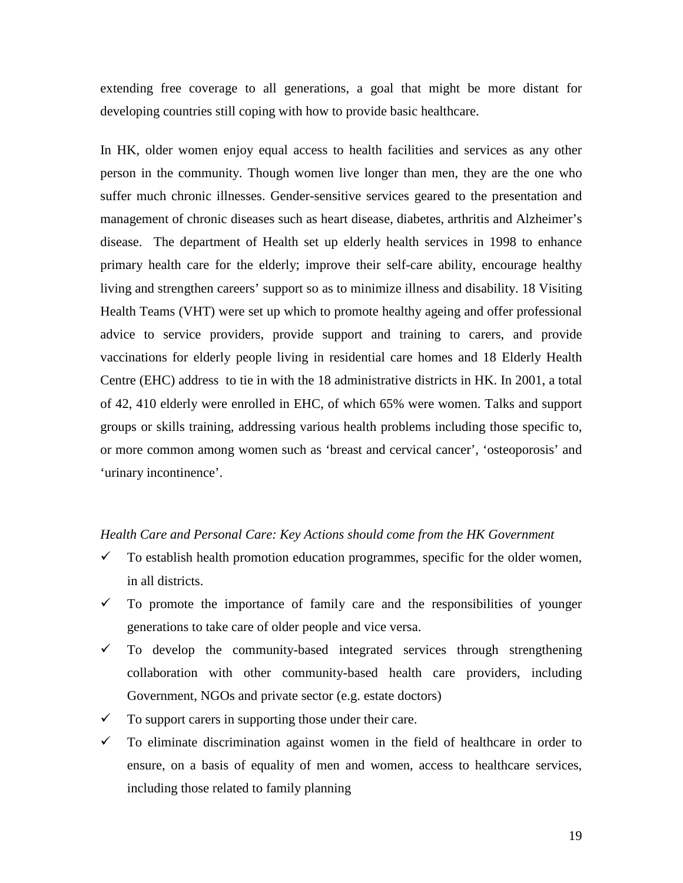extending free coverage to all generations, a goal that might be more distant for developing countries still coping with how to provide basic healthcare.

In HK, older women enjoy equal access to health facilities and services as any other person in the community. Though women live longer than men, they are the one who suffer much chronic illnesses. Gender-sensitive services geared to the presentation and management of chronic diseases such as heart disease, diabetes, arthritis and Alzheimer's disease. The department of Health set up elderly health services in 1998 to enhance primary health care for the elderly; improve their self-care ability, encourage healthy living and strengthen careers' support so as to minimize illness and disability. 18 Visiting Health Teams (VHT) were set up which to promote healthy ageing and offer professional advice to service providers, provide support and training to carers, and provide vaccinations for elderly people living in residential care homes and 18 Elderly Health Centre (EHC) address to tie in with the 18 administrative districts in HK. In 2001, a total of 42, 410 elderly were enrolled in EHC, of which 65% were women. Talks and support groups or skills training, addressing various health problems including those specific to, or more common among women such as 'breast and cervical cancer', 'osteoporosis' and 'urinary incontinence'.

#### *Health Care and Personal Care: Key Actions should come from the HK Government*

- $\checkmark$  To establish health promotion education programmes, specific for the older women, in all districts.
- $\checkmark$  To promote the importance of family care and the responsibilities of younger generations to take care of older people and vice versa.
- $\checkmark$  To develop the community-based integrated services through strengthening collaboration with other community-based health care providers, including Government, NGOs and private sector (e.g. estate doctors)
- $\checkmark$  To support carers in supporting those under their care.
- $\checkmark$  To eliminate discrimination against women in the field of healthcare in order to ensure, on a basis of equality of men and women, access to healthcare services, including those related to family planning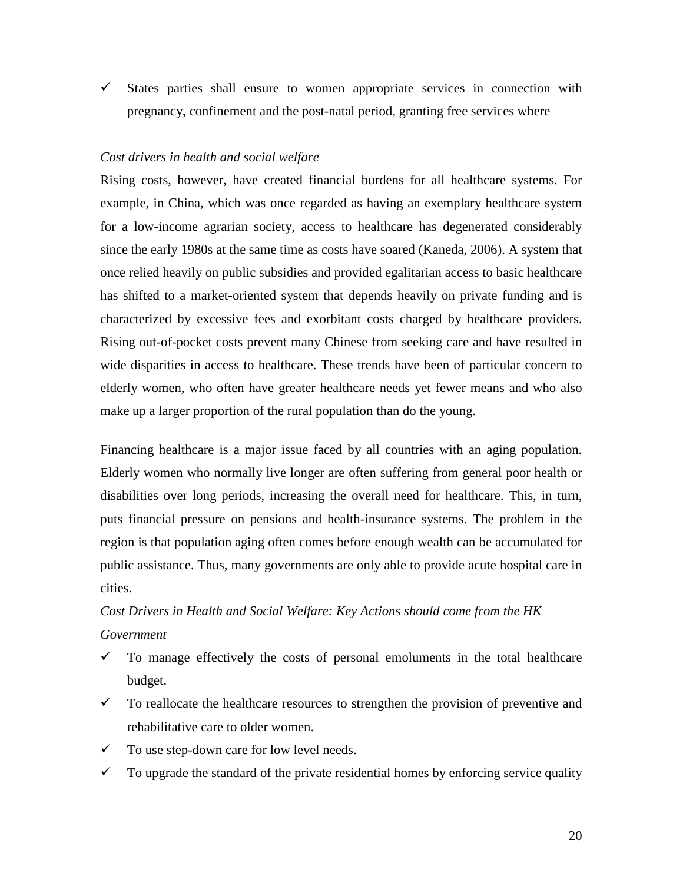$\checkmark$  States parties shall ensure to women appropriate services in connection with pregnancy, confinement and the post-natal period, granting free services where

#### *Cost drivers in health and social welfare*

Rising costs, however, have created financial burdens for all healthcare systems. For example, in China, which was once regarded as having an exemplary healthcare system for a low-income agrarian society, access to healthcare has degenerated considerably since the early 1980s at the same time as costs have soared (Kaneda, 2006). A system that once relied heavily on public subsidies and provided egalitarian access to basic healthcare has shifted to a market-oriented system that depends heavily on private funding and is characterized by excessive fees and exorbitant costs charged by healthcare providers. Rising out-of-pocket costs prevent many Chinese from seeking care and have resulted in wide disparities in access to healthcare. These trends have been of particular concern to elderly women, who often have greater healthcare needs yet fewer means and who also make up a larger proportion of the rural population than do the young.

Financing healthcare is a major issue faced by all countries with an aging population. Elderly women who normally live longer are often suffering from general poor health or disabilities over long periods, increasing the overall need for healthcare. This, in turn, puts financial pressure on pensions and health-insurance systems. The problem in the region is that population aging often comes before enough wealth can be accumulated for public assistance. Thus, many governments are only able to provide acute hospital care in cities.

# *Cost Drivers in Health and Social Welfare: Key Actions should come from the HK Government*

- $\checkmark$  To manage effectively the costs of personal emoluments in the total healthcare budget.
- $\checkmark$  To reallocate the healthcare resources to strengthen the provision of preventive and rehabilitative care to older women.
- $\checkmark$  To use step-down care for low level needs.
- $\checkmark$  To upgrade the standard of the private residential homes by enforcing service quality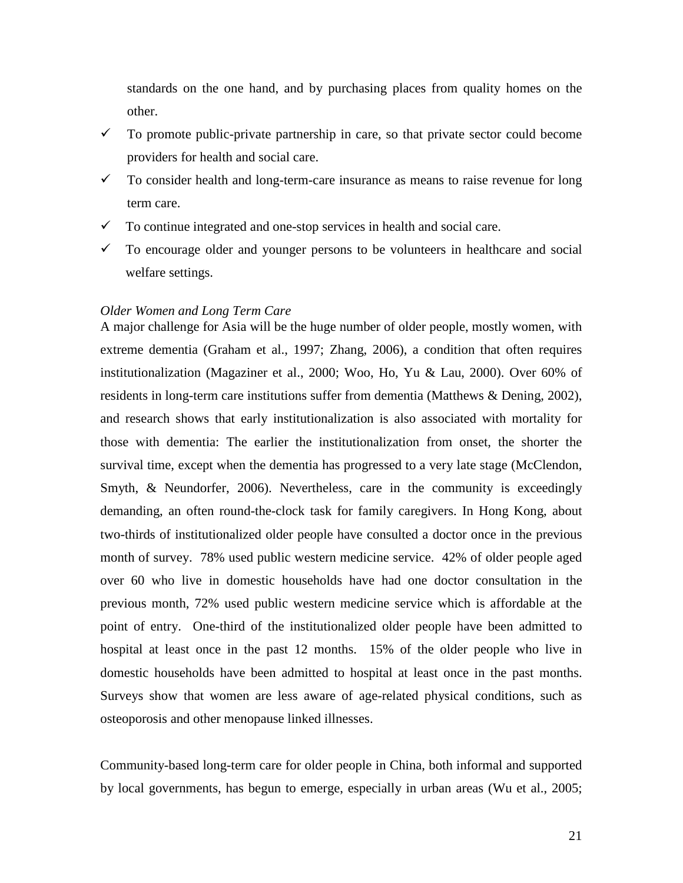standards on the one hand, and by purchasing places from quality homes on the other.

- $\checkmark$  To promote public-private partnership in care, so that private sector could become providers for health and social care.
- $\checkmark$  To consider health and long-term-care insurance as means to raise revenue for long term care.
- $\checkmark$  To continue integrated and one-stop services in health and social care.
- $\checkmark$  To encourage older and younger persons to be volunteers in healthcare and social welfare settings.

#### *Older Women and Long Term Care*

A major challenge for Asia will be the huge number of older people, mostly women, with extreme dementia (Graham et al., 1997; Zhang, 2006), a condition that often requires institutionalization (Magaziner et al., 2000; Woo, Ho, Yu & Lau, 2000). Over 60% of residents in long-term care institutions suffer from dementia (Matthews & Dening, 2002), and research shows that early institutionalization is also associated with mortality for those with dementia: The earlier the institutionalization from onset, the shorter the survival time, except when the dementia has progressed to a very late stage (McClendon, Smyth, & Neundorfer, 2006). Nevertheless, care in the community is exceedingly demanding, an often round-the-clock task for family caregivers. In Hong Kong, about two-thirds of institutionalized older people have consulted a doctor once in the previous month of survey. 78% used public western medicine service. 42% of older people aged over 60 who live in domestic households have had one doctor consultation in the previous month, 72% used public western medicine service which is affordable at the point of entry. One-third of the institutionalized older people have been admitted to hospital at least once in the past 12 months. 15% of the older people who live in domestic households have been admitted to hospital at least once in the past months. Surveys show that women are less aware of age-related physical conditions, such as osteoporosis and other menopause linked illnesses.

Community-based long-term care for older people in China, both informal and supported by local governments, has begun to emerge, especially in urban areas (Wu et al., 2005;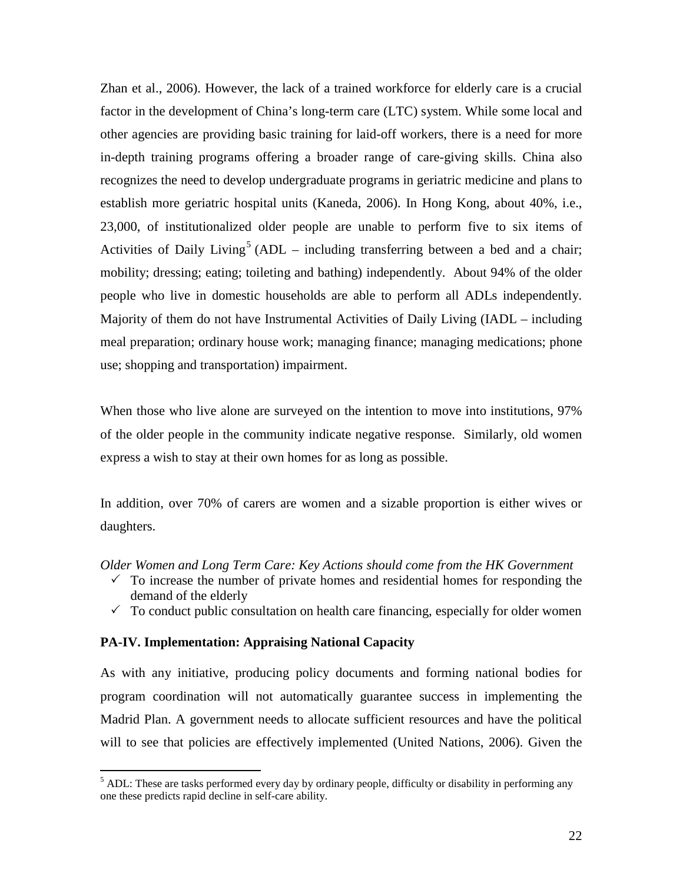Zhan et al., 2006). However, the lack of a trained workforce for elderly care is a crucial factor in the development of China's long-term care (LTC) system. While some local and other agencies are providing basic training for laid-off workers, there is a need for more in-depth training programs offering a broader range of care-giving skills. China also recognizes the need to develop undergraduate programs in geriatric medicine and plans to establish more geriatric hospital units (Kaneda, 2006). In Hong Kong, about 40%, i.e., 23,000, of institutionalized older people are unable to perform five to six items of Activities of Daily Living<sup>[5](#page-22-0)</sup> (ADL – including transferring between a bed and a chair; mobility; dressing; eating; toileting and bathing) independently. About 94% of the older people who live in domestic households are able to perform all ADLs independently. Majority of them do not have Instrumental Activities of Daily Living (IADL – including meal preparation; ordinary house work; managing finance; managing medications; phone use; shopping and transportation) impairment.

When those who live alone are surveyed on the intention to move into institutions, 97% of the older people in the community indicate negative response. Similarly, old women express a wish to stay at their own homes for as long as possible.

In addition, over 70% of carers are women and a sizable proportion is either wives or daughters.

*Older Women and Long Term Care: Key Actions should come from the HK Government* 

- $\checkmark$  To increase the number of private homes and residential homes for responding the demand of the elderly
- $\checkmark$  To conduct public consultation on health care financing, especially for older women

#### **PA-IV. Implementation: Appraising National Capacity**

As with any initiative, producing policy documents and forming national bodies for program coordination will not automatically guarantee success in implementing the Madrid Plan. A government needs to allocate sufficient resources and have the political will to see that policies are effectively implemented (United Nations, 2006). Given the

<span id="page-22-0"></span> $<sup>5</sup>$  ADL: These are tasks performed every day by ordinary people, difficulty or disability in performing any</sup> one these predicts rapid decline in self-care ability.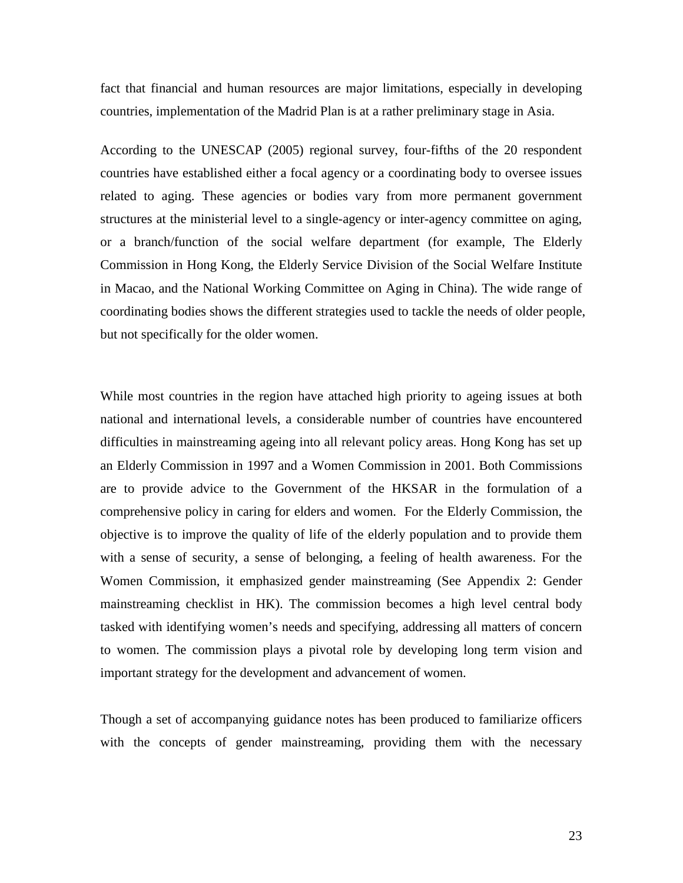fact that financial and human resources are major limitations, especially in developing countries, implementation of the Madrid Plan is at a rather preliminary stage in Asia.

According to the UNESCAP (2005) regional survey, four-fifths of the 20 respondent countries have established either a focal agency or a coordinating body to oversee issues related to aging. These agencies or bodies vary from more permanent government structures at the ministerial level to a single-agency or inter-agency committee on aging, or a branch/function of the social welfare department (for example, The Elderly Commission in Hong Kong, the Elderly Service Division of the Social Welfare Institute in Macao, and the National Working Committee on Aging in China). The wide range of coordinating bodies shows the different strategies used to tackle the needs of older people, but not specifically for the older women.

While most countries in the region have attached high priority to ageing issues at both national and international levels, a considerable number of countries have encountered difficulties in mainstreaming ageing into all relevant policy areas. Hong Kong has set up an Elderly Commission in 1997 and a Women Commission in 2001. Both Commissions are to provide advice to the Government of the HKSAR in the formulation of a comprehensive policy in caring for elders and women. For the Elderly Commission, the objective is to improve the quality of life of the elderly population and to provide them with a sense of security, a sense of belonging, a feeling of health awareness. For the Women Commission, it emphasized gender mainstreaming (See Appendix 2: Gender mainstreaming checklist in HK). The commission becomes a high level central body tasked with identifying women's needs and specifying, addressing all matters of concern to women. The commission plays a pivotal role by developing long term vision and important strategy for the development and advancement of women.

Though a set of accompanying guidance notes has been produced to familiarize officers with the concepts of gender mainstreaming, providing them with the necessary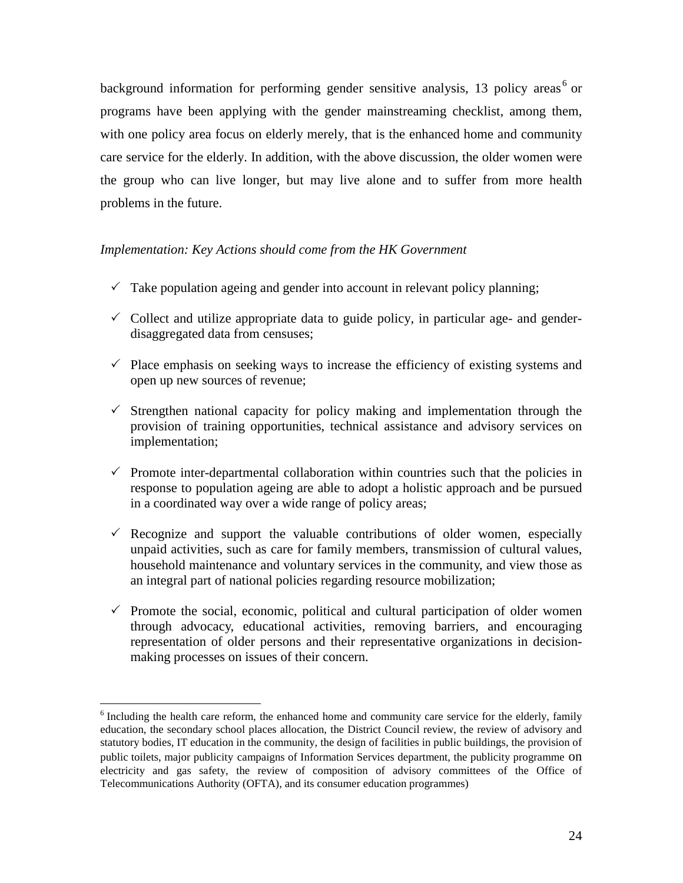background information for performing gender sensitive analysis, 13 policy areas<sup>[6](#page-24-0)</sup> or programs have been applying with the gender mainstreaming checklist, among them, with one policy area focus on elderly merely, that is the enhanced home and community care service for the elderly. In addition, with the above discussion, the older women were the group who can live longer, but may live alone and to suffer from more health problems in the future.

## *Implementation: Key Actions should come from the HK Government*

- $\checkmark$  Take population ageing and gender into account in relevant policy planning;
- $\checkmark$  Collect and utilize appropriate data to guide policy, in particular age- and genderdisaggregated data from censuses;
- $\checkmark$  Place emphasis on seeking ways to increase the efficiency of existing systems and open up new sources of revenue;
- $\checkmark$  Strengthen national capacity for policy making and implementation through the provision of training opportunities, technical assistance and advisory services on implementation;
- $\checkmark$  Promote inter-departmental collaboration within countries such that the policies in response to population ageing are able to adopt a holistic approach and be pursued in a coordinated way over a wide range of policy areas;
- $\checkmark$  Recognize and support the valuable contributions of older women, especially unpaid activities, such as care for family members, transmission of cultural values, household maintenance and voluntary services in the community, and view those as an integral part of national policies regarding resource mobilization;
- $\checkmark$  Promote the social, economic, political and cultural participation of older women through advocacy, educational activities, removing barriers, and encouraging representation of older persons and their representative organizations in decisionmaking processes on issues of their concern.

<span id="page-24-0"></span><sup>&</sup>lt;sup>6</sup> Including the health care reform, the enhanced home and community care service for the elderly, family education, the secondary school places allocation, the District Council review, the review of advisory and statutory bodies, IT education in the community, the design of facilities in public buildings, the provision of public toilets, major publicity campaigns of Information Services department, the publicity programme on electricity and gas safety, the review of composition of advisory committees of the Office of Telecommunications Authority (OFTA), and its consumer education programmes)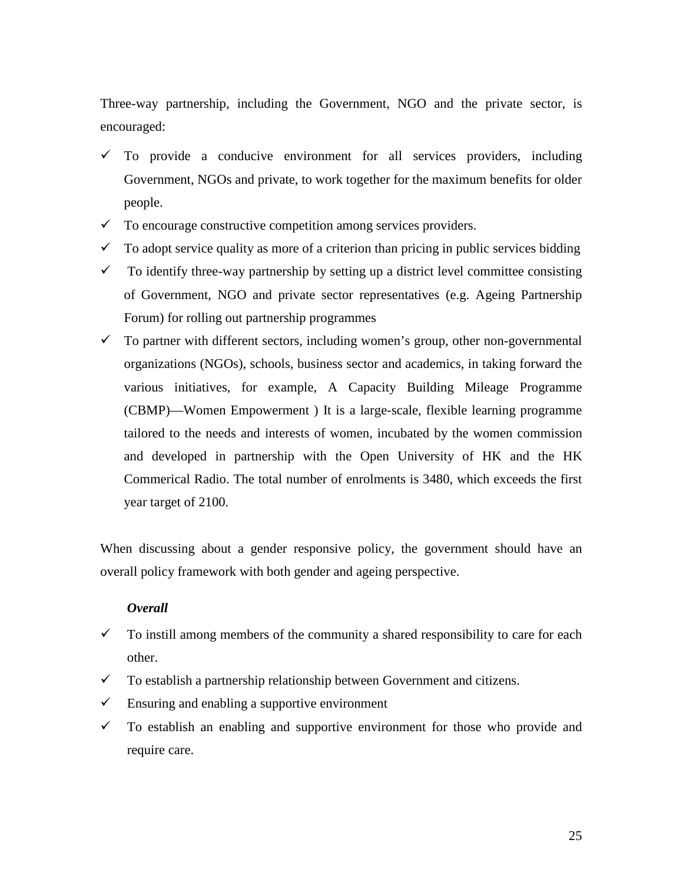Three-way partnership, including the Government, NGO and the private sector, is encouraged:

- $\checkmark$  To provide a conducive environment for all services providers, including Government, NGOs and private, to work together for the maximum benefits for older people.
- $\checkmark$  To encourage constructive competition among services providers.
- $\checkmark$  To adopt service quality as more of a criterion than pricing in public services bidding
- $\checkmark$  To identify three-way partnership by setting up a district level committee consisting of Government, NGO and private sector representatives (e.g. Ageing Partnership Forum) for rolling out partnership programmes
- $\checkmark$  To partner with different sectors, including women's group, other non-governmental organizations (NGOs), schools, business sector and academics, in taking forward the various initiatives, for example, A Capacity Building Mileage Programme (CBMP)—Women Empowerment ) It is a large-scale, flexible learning programme tailored to the needs and interests of women, incubated by the women commission and developed in partnership with the Open University of HK and the HK Commerical Radio. The total number of enrolments is 3480, which exceeds the first year target of 2100.

When discussing about a gender responsive policy, the government should have an overall policy framework with both gender and ageing perspective.

## *Overall*

- $\checkmark$  To instill among members of the community a shared responsibility to care for each other.
- $\checkmark$  To establish a partnership relationship between Government and citizens.
- $\checkmark$  Ensuring and enabling a supportive environment
- $\checkmark$  To establish an enabling and supportive environment for those who provide and require care.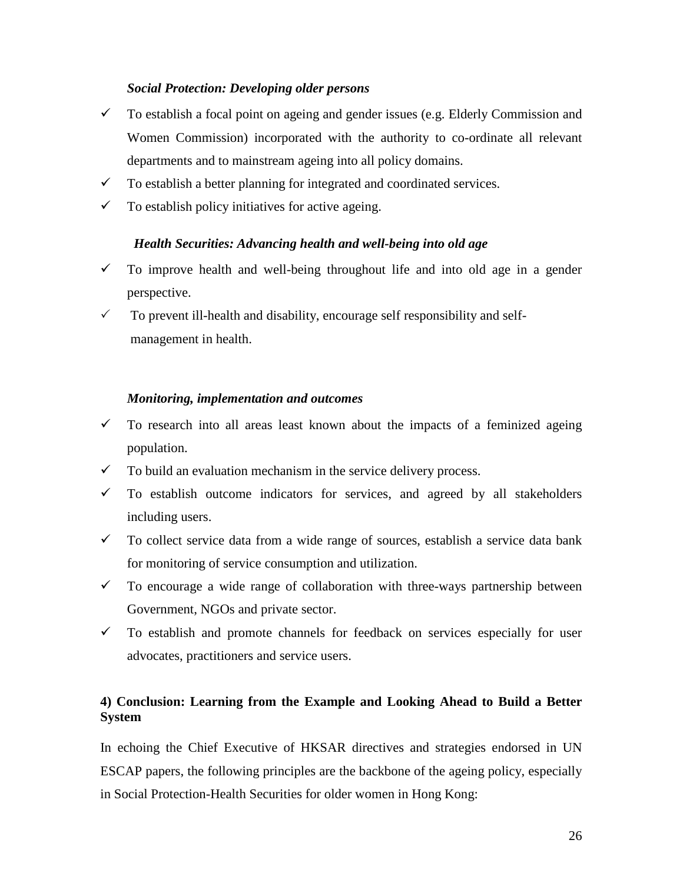# *Social Protection: Developing older persons*

- $\checkmark$  To establish a focal point on ageing and gender issues (e.g. Elderly Commission and Women Commission) incorporated with the authority to co-ordinate all relevant departments and to mainstream ageing into all policy domains.
- $\checkmark$  To establish a better planning for integrated and coordinated services.
- $\checkmark$  To establish policy initiatives for active ageing.

# *Health Securities: Advancing health and well-being into old age*

- $\checkmark$  To improve health and well-being throughout life and into old age in a gender perspective.
- $\checkmark$  To prevent ill-health and disability, encourage self responsibility and selfmanagement in health.

## *Monitoring, implementation and outcomes*

- $\checkmark$  To research into all areas least known about the impacts of a feminized ageing population.
- $\checkmark$  To build an evaluation mechanism in the service delivery process.
- $\checkmark$  To establish outcome indicators for services, and agreed by all stakeholders including users.
- $\checkmark$  To collect service data from a wide range of sources, establish a service data bank for monitoring of service consumption and utilization.
- $\checkmark$  To encourage a wide range of collaboration with three-ways partnership between Government, NGOs and private sector.
- $\checkmark$  To establish and promote channels for feedback on services especially for user advocates, practitioners and service users.

# **4) Conclusion: Learning from the Example and Looking Ahead to Build a Better System**

In echoing the Chief Executive of HKSAR directives and strategies endorsed in UN ESCAP papers, the following principles are the backbone of the ageing policy, especially in Social Protection-Health Securities for older women in Hong Kong: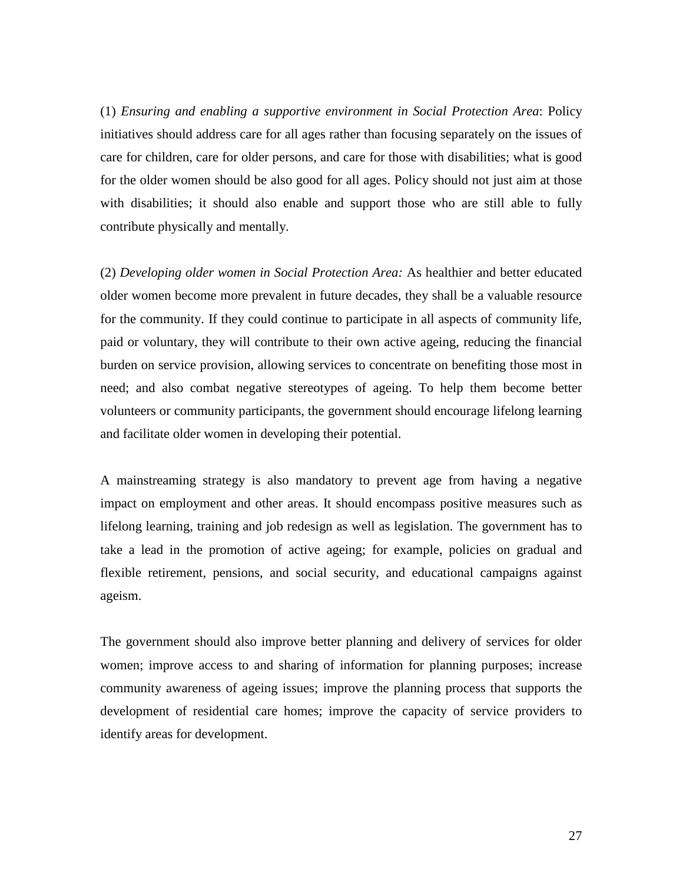(1) *Ensuring and enabling a supportive environment in Social Protection Area*: Policy initiatives should address care for all ages rather than focusing separately on the issues of care for children, care for older persons, and care for those with disabilities; what is good for the older women should be also good for all ages. Policy should not just aim at those with disabilities; it should also enable and support those who are still able to fully contribute physically and mentally.

(2) *Developing older women in Social Protection Area:* As healthier and better educated older women become more prevalent in future decades, they shall be a valuable resource for the community. If they could continue to participate in all aspects of community life, paid or voluntary, they will contribute to their own active ageing, reducing the financial burden on service provision, allowing services to concentrate on benefiting those most in need; and also combat negative stereotypes of ageing. To help them become better volunteers or community participants, the government should encourage lifelong learning and facilitate older women in developing their potential.

A mainstreaming strategy is also mandatory to prevent age from having a negative impact on employment and other areas. It should encompass positive measures such as lifelong learning, training and job redesign as well as legislation. The government has to take a lead in the promotion of active ageing; for example, policies on gradual and flexible retirement, pensions, and social security, and educational campaigns against ageism.

The government should also improve better planning and delivery of services for older women; improve access to and sharing of information for planning purposes; increase community awareness of ageing issues; improve the planning process that supports the development of residential care homes; improve the capacity of service providers to identify areas for development.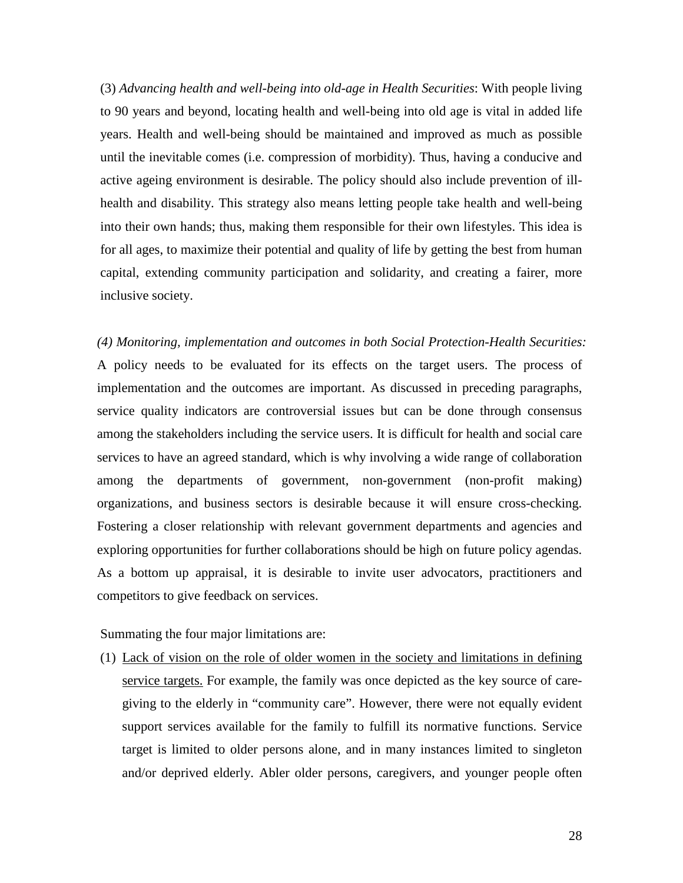(3) *Advancing health and well-being into old-age in Health Securities*: With people living to 90 years and beyond, locating health and well-being into old age is vital in added life years. Health and well-being should be maintained and improved as much as possible until the inevitable comes (i.e. compression of morbidity). Thus, having a conducive and active ageing environment is desirable. The policy should also include prevention of illhealth and disability. This strategy also means letting people take health and well-being into their own hands; thus, making them responsible for their own lifestyles. This idea is for all ages, to maximize their potential and quality of life by getting the best from human capital, extending community participation and solidarity, and creating a fairer, more inclusive society.

*(4) Monitoring, implementation and outcomes in both Social Protection-Health Securities:* A policy needs to be evaluated for its effects on the target users. The process of implementation and the outcomes are important. As discussed in preceding paragraphs, service quality indicators are controversial issues but can be done through consensus among the stakeholders including the service users. It is difficult for health and social care services to have an agreed standard, which is why involving a wide range of collaboration among the departments of government, non-government (non-profit making) organizations, and business sectors is desirable because it will ensure cross-checking. Fostering a closer relationship with relevant government departments and agencies and exploring opportunities for further collaborations should be high on future policy agendas. As a bottom up appraisal, it is desirable to invite user advocators, practitioners and competitors to give feedback on services.

Summating the four major limitations are:

(1) Lack of vision on the role of older women in the society and limitations in defining service targets. For example, the family was once depicted as the key source of caregiving to the elderly in "community care". However, there were not equally evident support services available for the family to fulfill its normative functions. Service target is limited to older persons alone, and in many instances limited to singleton and/or deprived elderly. Abler older persons, caregivers, and younger people often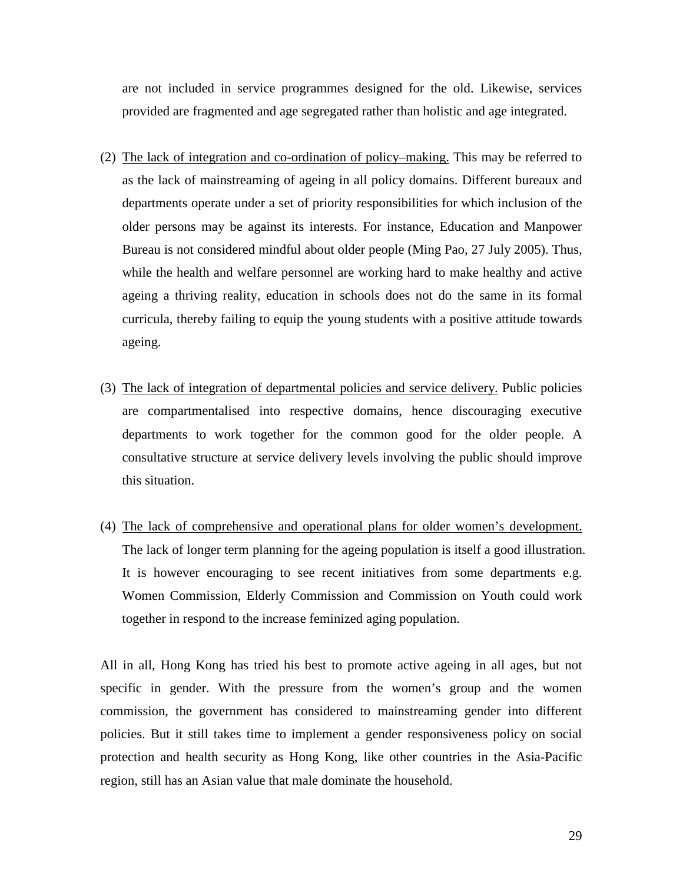are not included in service programmes designed for the old. Likewise, services provided are fragmented and age segregated rather than holistic and age integrated.

- (2) The lack of integration and co-ordination of policy–making. This may be referred to as the lack of mainstreaming of ageing in all policy domains. Different bureaux and departments operate under a set of priority responsibilities for which inclusion of the older persons may be against its interests. For instance, Education and Manpower Bureau is not considered mindful about older people (Ming Pao, 27 July 2005). Thus, while the health and welfare personnel are working hard to make healthy and active ageing a thriving reality, education in schools does not do the same in its formal curricula, thereby failing to equip the young students with a positive attitude towards ageing.
- (3) The lack of integration of departmental policies and service delivery. Public policies are compartmentalised into respective domains, hence discouraging executive departments to work together for the common good for the older people. A consultative structure at service delivery levels involving the public should improve this situation.
- (4) The lack of comprehensive and operational plans for older women's development. The lack of longer term planning for the ageing population is itself a good illustration. It is however encouraging to see recent initiatives from some departments e.g. Women Commission, Elderly Commission and Commission on Youth could work together in respond to the increase feminized aging population.

All in all, Hong Kong has tried his best to promote active ageing in all ages, but not specific in gender. With the pressure from the women's group and the women commission, the government has considered to mainstreaming gender into different policies. But it still takes time to implement a gender responsiveness policy on social protection and health security as Hong Kong, like other countries in the Asia-Pacific region, still has an Asian value that male dominate the household.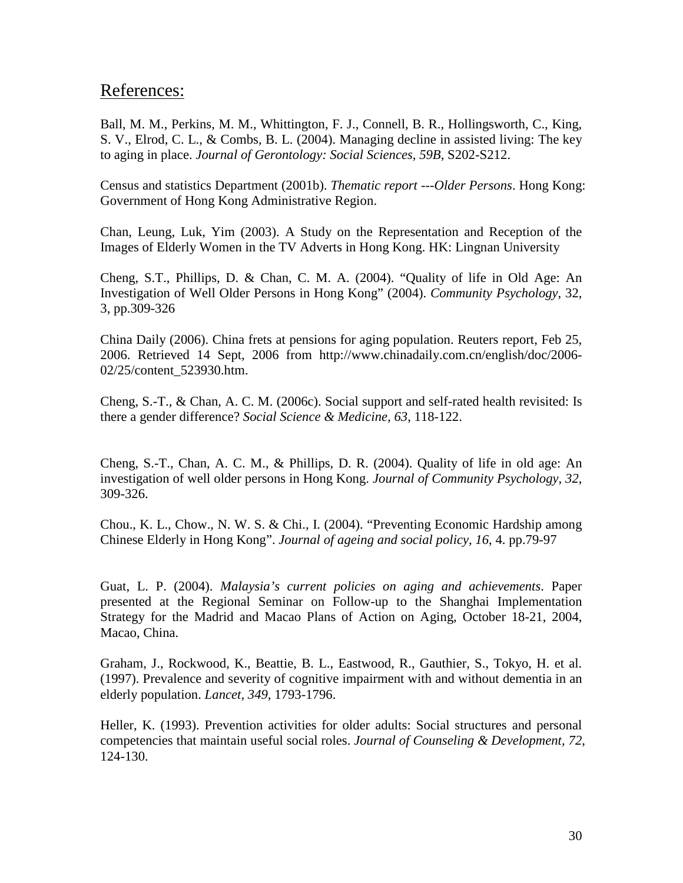# References:

Ball, M. M., Perkins, M. M., Whittington, F. J., Connell, B. R., Hollingsworth, C., King, S. V., Elrod, C. L., & Combs, B. L. (2004). Managing decline in assisted living: The key to aging in place. *Journal of Gerontology: Social Sciences, 59B*, S202-S212.

Census and statistics Department (2001b). *Thematic report ---Older Persons*. Hong Kong: Government of Hong Kong Administrative Region.

Chan, Leung, Luk, Yim (2003). A Study on the Representation and Reception of the Images of Elderly Women in the TV Adverts in Hong Kong. HK: Lingnan University

Cheng, S.T., Phillips, D. & Chan, C. M. A. (2004). "Quality of life in Old Age: An Investigation of Well Older Persons in Hong Kong" (2004). *Community Psychology*, 32, 3, pp.309-326

China Daily (2006). China frets at pensions for aging population. Reuters report, Feb 25, 2006. Retrieved 14 Sept, 2006 from [http://www.chinadaily.com.cn/english/doc/2006-](http://www.chinadaily.com.cn/english/doc/2006-02/25/content_523930.htm) [02/25/content\\_523930.htm.](http://www.chinadaily.com.cn/english/doc/2006-02/25/content_523930.htm)

Cheng, S.-T., & Chan, A. C. M. (2006c). Social support and self-rated health revisited: Is there a gender difference? *Social Science & Medicine, 63*, 118-122.

Cheng, S.-T., Chan, A. C. M., & Phillips, D. R. (2004). Quality of life in old age: An investigation of well older persons in Hong Kong. *Journal of Community Psychology, 32*, 309-326.

Chou., K. L., Chow., N. W. S. & Chi., I. (2004). "Preventing Economic Hardship among Chinese Elderly in Hong Kong". *Journal of ageing and social policy, 16*, 4. pp.79-97

Guat, L. P. (2004). *Malaysia's current policies on aging and achievements*. Paper presented at the Regional Seminar on Follow-up to the Shanghai Implementation Strategy for the Madrid and Macao Plans of Action on Aging, October 18-21, 2004, Macao, China.

Graham, J., Rockwood, K., Beattie, B. L., Eastwood, R., Gauthier, S., Tokyo, H. et al. (1997). Prevalence and severity of cognitive impairment with and without dementia in an elderly population. *Lancet, 349*, 1793-1796.

Heller, K. (1993). Prevention activities for older adults: Social structures and personal competencies that maintain useful social roles. *Journal of Counseling & Development, 72*, 124-130.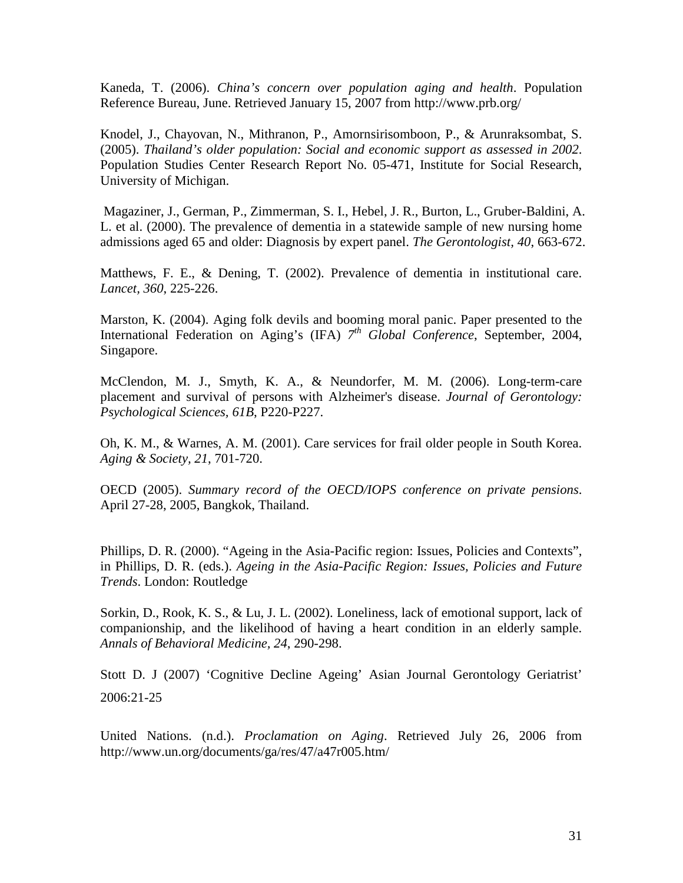Kaneda, T. (2006). *China's concern over population aging and health*. Population Reference Bureau, June. Retrieved January 15, 2007 from http://www.prb.org/

Knodel, J., Chayovan, N., Mithranon, P., Amornsirisomboon, P., & Arunraksombat, S. (2005). *Thailand's older population: Social and economic support as assessed in 2002*. Population Studies Center Research Report No. 05-471, Institute for Social Research, University of Michigan.

Magaziner, J., German, P., Zimmerman, S. I., Hebel, J. R., Burton, L., Gruber-Baldini, A. L. et al. (2000). The prevalence of dementia in a statewide sample of new nursing home admissions aged 65 and older: Diagnosis by expert panel. *The Gerontologist, 40*, 663-672.

Matthews, F. E., & Dening, T. (2002). Prevalence of dementia in institutional care. *Lancet, 360*, 225-226.

Marston, K. (2004). Aging folk devils and booming moral panic. Paper presented to the International Federation on Aging's (IFA) *7th Global Conference*, September, 2004, Singapore.

McClendon, M. J., Smyth, K. A., & Neundorfer, M. M. (2006). Long-term-care placement and survival of persons with Alzheimer's disease. *Journal of Gerontology: Psychological Sciences, 61B*, P220-P227.

Oh, K. M., & Warnes, A. M. (2001). Care services for frail older people in South Korea. *Aging & Society, 21*, 701-720.

OECD (2005). *Summary record of the OECD/IOPS conference on private pensions*. April 27-28, 2005, Bangkok, Thailand.

Phillips, D. R. (2000). "Ageing in the Asia-Pacific region: Issues, Policies and Contexts", in Phillips, D. R. (eds.). *Ageing in the Asia-Pacific Region: Issues, Policies and Future Trends*. London: Routledge

Sorkin, D., Rook, K. S., & Lu, J. L. (2002). Loneliness, lack of emotional support, lack of companionship, and the likelihood of having a heart condition in an elderly sample. *Annals of Behavioral Medicine, 24*, 290-298.

Stott D. J (2007) 'Cognitive Decline Ageing' Asian Journal Gerontology Geriatrist' 2006:21-25

United Nations. (n.d.). *Proclamation on Aging*. Retrieved July 26, 2006 from http://www.un.org/documents/ga/res/47/a47r005.htm/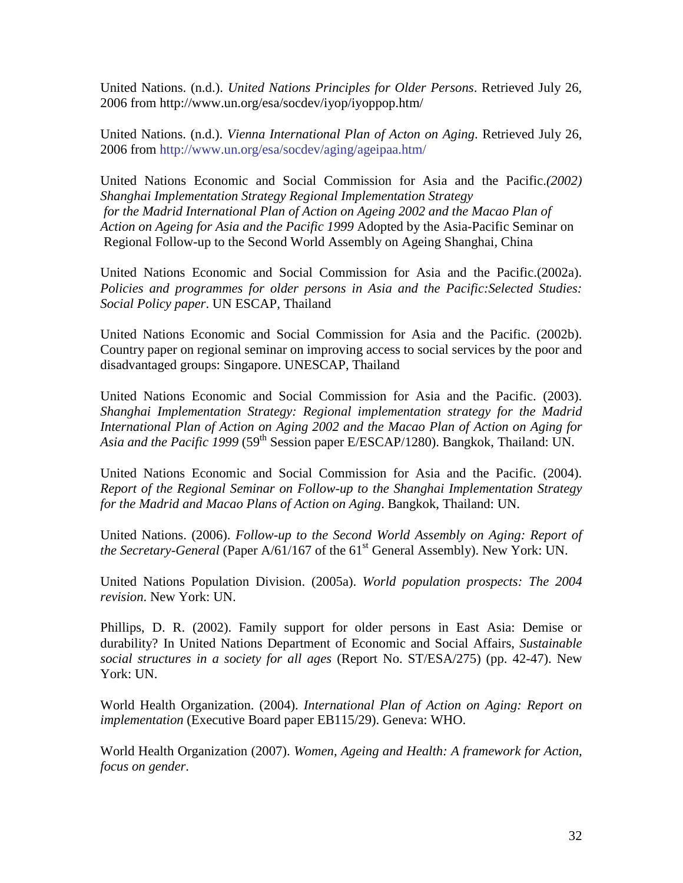United Nations. (n.d.). *United Nations Principles for Older Persons*. Retrieved July 26, 2006 from http://www.un.org/esa/socdev/iyop/iyoppop.htm/

United Nations. (n.d.). *Vienna International Plan of Acton on Aging*. Retrieved July 26, 2006 from [http://www.un.org/esa/socdev/aging/ageipaa.htm/](http://www.un.org/esa/socdev/ageing/ageipaa.htm/)

United Nations Economic and Social Commission for Asia and the Pacific.*(2002) Shanghai Implementation Strategy Regional Implementation Strategy for the Madrid International Plan of Action on Ageing 2002 and the Macao Plan of Action on Ageing for Asia and the Pacific 1999* Adopted by the Asia-Pacific Seminar on Regional Follow-up to the Second World Assembly on Ageing Shanghai, China

United Nations Economic and Social Commission for Asia and the Pacific.(2002a). *Policies and programmes for older persons in Asia and the Pacific:Selected Studies: Social Policy paper*. UN ESCAP, Thailand

United Nations Economic and Social Commission for Asia and the Pacific. (2002b). Country paper on regional seminar on improving access to social services by the poor and disadvantaged groups: Singapore. UNESCAP, Thailand

United Nations Economic and Social Commission for Asia and the Pacific. (2003). *Shanghai Implementation Strategy: Regional implementation strategy for the Madrid International Plan of Action on Aging 2002 and the Macao Plan of Action on Aging for Asia and the Pacific 1999* (59<sup>th</sup> Session paper E/ESCAP/1280). Bangkok, Thailand: UN.

United Nations Economic and Social Commission for Asia and the Pacific. (2004). *Report of the Regional Seminar on Follow-up to the Shanghai Implementation Strategy for the Madrid and Macao Plans of Action on Aging*. Bangkok, Thailand: UN.

United Nations. (2006). *Follow-up to the Second World Assembly on Aging: Report of the Secretary-General* (Paper A/61/167 of the 61<sup>st</sup> General Assembly). New York: UN.

United Nations Population Division. (2005a). *World population prospects: The 2004 revision*. New York: UN.

Phillips, D. R. (2002). Family support for older persons in East Asia: Demise or durability? In United Nations Department of Economic and Social Affairs, *Sustainable social structures in a society for all ages* (Report No. ST/ESA/275) (pp. 42-47). New York: UN.

World Health Organization. (2004). *International Plan of Action on Aging: Report on implementation* (Executive Board paper EB115/29). Geneva: WHO.

World Health Organization (2007). *Women, Ageing and Health: A framework for Action, focus on gender*.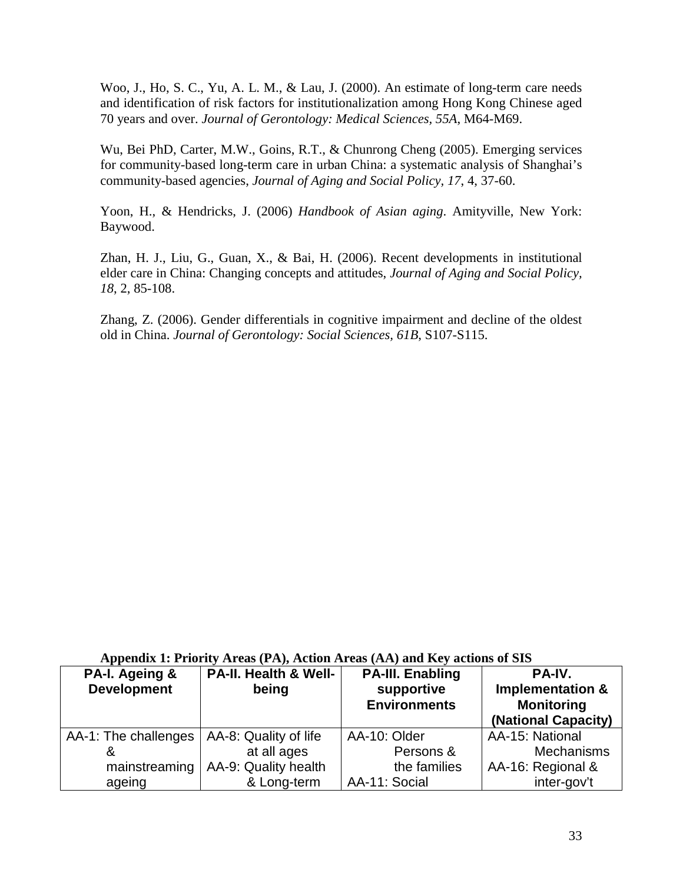Woo, J., Ho, S. C., Yu, A. L. M., & Lau, J. (2000). An estimate of long-term care needs and identification of risk factors for institutionalization among Hong Kong Chinese aged 70 years and over. *Journal of Gerontology: Medical Sciences, 55A*, M64-M69.

Wu, Bei PhD, Carter, M.W., Goins, R.T., & Chunrong Cheng (2005). Emerging services for community-based long-term care in urban China: a systematic analysis of Shanghai's community-based agencies, *Journal of Aging and Social Policy, 17*, 4, 37-60.

Yoon, H., & Hendricks, J. (2006) *Handbook of Asian aging*. Amityville, New York: Baywood.

Zhan, H. J., Liu, G., Guan, X., & Bai, H. (2006). Recent developments in institutional elder care in China: Changing concepts and attitudes, *Journal of Aging and Social Policy, 18*, 2, 85-108.

Zhang, Z. (2006). Gender differentials in cognitive impairment and decline of the oldest old in China. *Journal of Gerontology: Social Sciences, 61B*, S107-S115.

| PA-I. Ageing &<br><b>Development</b> | PA-II. Health & Well-<br>being | <b>PA-III. Enabling</b><br>supportive<br><b>Environments</b> | PA-IV.<br><b>Implementation &amp;</b><br><b>Monitoring</b><br>(National Capacity) |
|--------------------------------------|--------------------------------|--------------------------------------------------------------|-----------------------------------------------------------------------------------|
| AA-1: The challenges                 | AA-8: Quality of life          | AA-10: Older                                                 | AA-15: National                                                                   |
| &                                    | at all ages                    | Persons &                                                    | <b>Mechanisms</b>                                                                 |
| mainstreaming                        | AA-9: Quality health           | the families                                                 | AA-16: Regional &                                                                 |
| ageing                               | & Long-term                    | AA-11: Social                                                | inter-gov't                                                                       |

## **Appendix 1: Priority Areas (PA), Action Areas (AA) and Key actions of SIS**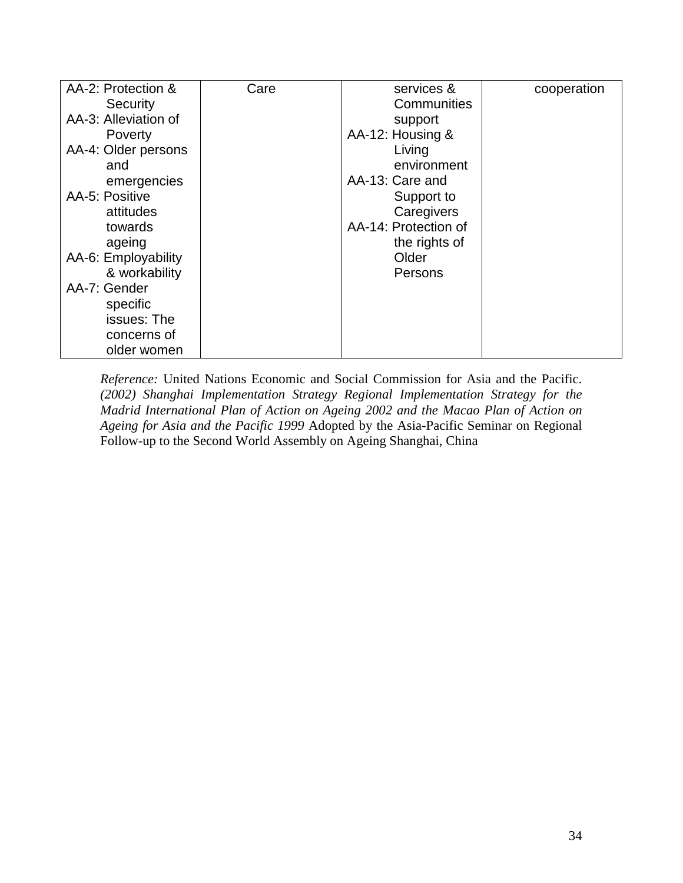| AA-2: Protection &   | Care | services &           | cooperation |
|----------------------|------|----------------------|-------------|
| Security             |      | Communities          |             |
| AA-3: Alleviation of |      | support              |             |
| Poverty              |      | AA-12: Housing &     |             |
| AA-4: Older persons  |      | Living               |             |
| and                  |      | environment          |             |
| emergencies          |      | AA-13: Care and      |             |
| AA-5: Positive       |      | Support to           |             |
| attitudes            |      | Caregivers           |             |
| towards              |      | AA-14: Protection of |             |
| ageing               |      | the rights of        |             |
| AA-6: Employability  |      | Older                |             |
| & workability        |      | Persons              |             |
| AA-7: Gender         |      |                      |             |
| specific             |      |                      |             |
| issues: The          |      |                      |             |
| concerns of          |      |                      |             |
| older women          |      |                      |             |

*Reference:* United Nations Economic and Social Commission for Asia and the Pacific. *(2002) Shanghai Implementation Strategy Regional Implementation Strategy for the Madrid International Plan of Action on Ageing 2002 and the Macao Plan of Action on Ageing for Asia and the Pacific 1999* Adopted by the Asia-Pacific Seminar on Regional Follow-up to the Second World Assembly on Ageing Shanghai, China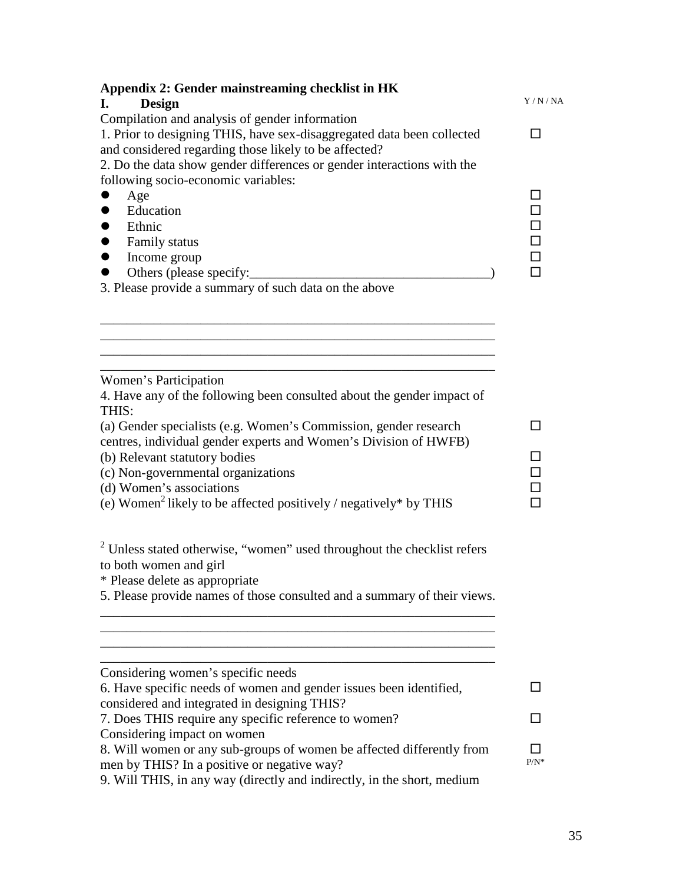| Appendix 2: Gender mainstreaming checklist in HK<br>Design<br>L.                                                                                                                                                                                                                                                                  |                   |  |  |
|-----------------------------------------------------------------------------------------------------------------------------------------------------------------------------------------------------------------------------------------------------------------------------------------------------------------------------------|-------------------|--|--|
| Compilation and analysis of gender information<br>1. Prior to designing THIS, have sex-disaggregated data been collected<br>and considered regarding those likely to be affected?<br>2. Do the data show gender differences or gender interactions with the                                                                       |                   |  |  |
| following socio-economic variables:<br>Age<br>Education<br>Ethnic<br>Family status<br>Income group<br>$\bullet$<br>Others (please specify:<br>3. Please provide a summary of such data on the above                                                                                                                               | ΙI<br>0<br>0<br>0 |  |  |
| Women's Participation<br>4. Have any of the following been consulted about the gender impact of                                                                                                                                                                                                                                   |                   |  |  |
| THIS:<br>(a) Gender specialists (e.g. Women's Commission, gender research<br>centres, individual gender experts and Women's Division of HWFB)<br>(b) Relevant statutory bodies<br>(c) Non-governmental organizations<br>(d) Women's associations<br>(e) Women <sup>2</sup> likely to be affected positively / negatively* by THIS | ΙI                |  |  |
| $2$ Unless stated otherwise, "women" used throughout the checklist refers<br>to both women and girl<br>* Please delete as appropriate<br>5. Please provide names of those consulted and a summary of their views.                                                                                                                 |                   |  |  |
|                                                                                                                                                                                                                                                                                                                                   |                   |  |  |
| Considering women's specific needs<br>6. Have specific needs of women and gender issues been identified,<br>considered and integrated in designing THIS?                                                                                                                                                                          |                   |  |  |
| 7. Does THIS require any specific reference to women?<br>Considering impact on women                                                                                                                                                                                                                                              |                   |  |  |
| 8. Will women or any sub-groups of women be affected differently from<br>men by THIS? In a positive or negative way?<br>9. Will THIS, in any way (directly and indirectly, in the short, medium                                                                                                                                   | $P/N^*$           |  |  |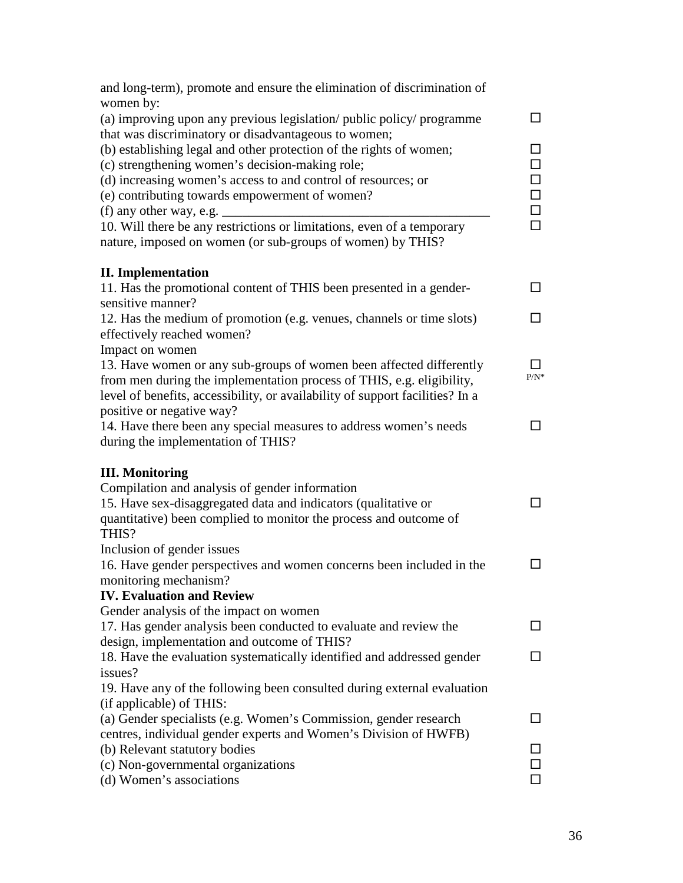| and long-term), promote and ensure the elimination of discrimination of       |                          |
|-------------------------------------------------------------------------------|--------------------------|
| women by:                                                                     |                          |
| (a) improving upon any previous legislation/ public policy/ programme         | □                        |
| that was discriminatory or disadvantageous to women;                          |                          |
| (b) establishing legal and other protection of the rights of women;           | $\Box$                   |
| (c) strengthening women's decision-making role;                               | $\Box$                   |
| (d) increasing women's access to and control of resources; or                 | $\Box$                   |
| (e) contributing towards empowerment of women?                                | $\Box$                   |
| (f) any other way, e.g. $\overline{\phantom{a}}$                              | $\Box$                   |
| 10. Will there be any restrictions or limitations, even of a temporary        | $\Box$                   |
| nature, imposed on women (or sub-groups of women) by THIS?                    |                          |
| <b>II.</b> Implementation                                                     |                          |
| 11. Has the promotional content of THIS been presented in a gender-           | □                        |
| sensitive manner?                                                             |                          |
| 12. Has the medium of promotion (e.g. venues, channels or time slots)         | ப                        |
| effectively reached women?                                                    |                          |
| Impact on women                                                               |                          |
| 13. Have women or any sub-groups of women been affected differently           | l I                      |
| from men during the implementation process of THIS, e.g. eligibility,         | $P/N^*$                  |
| level of benefits, accessibility, or availability of support facilities? In a |                          |
| positive or negative way?                                                     |                          |
| 14. Have there been any special measures to address women's needs             | П                        |
| during the implementation of THIS?                                            |                          |
| <b>III. Monitoring</b>                                                        |                          |
| Compilation and analysis of gender information                                |                          |
| 15. Have sex-disaggregated data and indicators (qualitative or                | П                        |
| quantitative) been complied to monitor the process and outcome of             |                          |
| THIS?                                                                         |                          |
| Inclusion of gender issues                                                    |                          |
| 16. Have gender perspectives and women concerns been included in the          | $\overline{\phantom{a}}$ |
| monitoring mechanism?                                                         |                          |
| <b>IV. Evaluation and Review</b>                                              |                          |
| Gender analysis of the impact on women                                        |                          |
| 17. Has gender analysis been conducted to evaluate and review the             |                          |
| design, implementation and outcome of THIS?                                   |                          |
| 18. Have the evaluation systematically identified and addressed gender        | $\blacksquare$           |
| issues?                                                                       |                          |
| 19. Have any of the following been consulted during external evaluation       |                          |
| (if applicable) of THIS:                                                      |                          |
| (a) Gender specialists (e.g. Women's Commission, gender research              |                          |
| centres, individual gender experts and Women's Division of HWFB)              |                          |
| (b) Relevant statutory bodies                                                 |                          |
| (c) Non-governmental organizations                                            |                          |
| (d) Women's associations                                                      |                          |